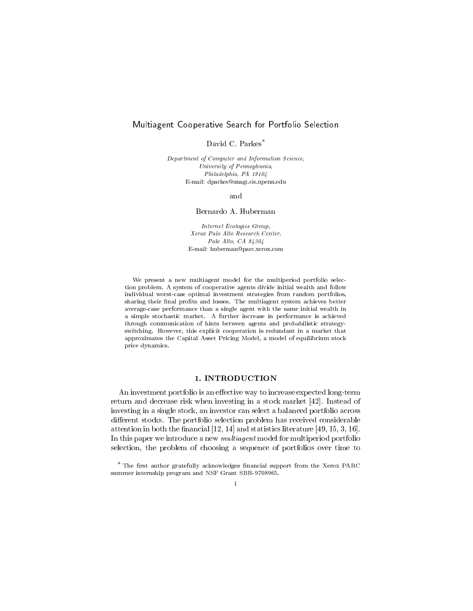# Multiagent Cooperative Search for Portfolio Selection

David C Parkes

Department of Computer and Information Science University of Pennsylvania Philadelphia PA -- Email- dparkesunagicisupennedu

and

### Bernardo A Huberman

Internet Ecologies Group Xerox Palo Alto Research Center Palo Alto, CA  $94304$ E-mail: nuberman@parc.xerox.com

We present a new multiagent model for the multiperiod portfolio selection problem A system of cooperative agents divide initial wealth and follow individual worst-case optimal investment strategies from random portfolios sharing their final profits and losses. The multiagent system achieves better average-case performance than a single agent with the same initial wealth in a simple stochastic market. A further increase in performance is achieved through communication of hints between agents and probabilistic strategyswitching. However, this explicit cooperation is redundant in a market that approximates the Capital Asset Pricing Model a model of equilibrium stock price dynamics

experiences portfolio is an expected longterment and engineering to increase  $\mathcal{L}_{\mathcal{A}}$ return and decrease risk when investing in a stock market  $[42]$ . Instead of investing in a single stock, an investor can select a balanced portfolio across di-erent stocks The portfolio selection problem has received considerable attention in both the control of the control of the control of the control of the control of the control of th In this paper we introduce a new multiagent model for multiperiod portfolio selection, the problem of choosing a sequence of portfolios over time to

The mst author gratefully acknowledges miancial support from the Xerox PARC summer internati<sub>p</sub> program and state Stand SBR-S States SB  $\mathbf{1}$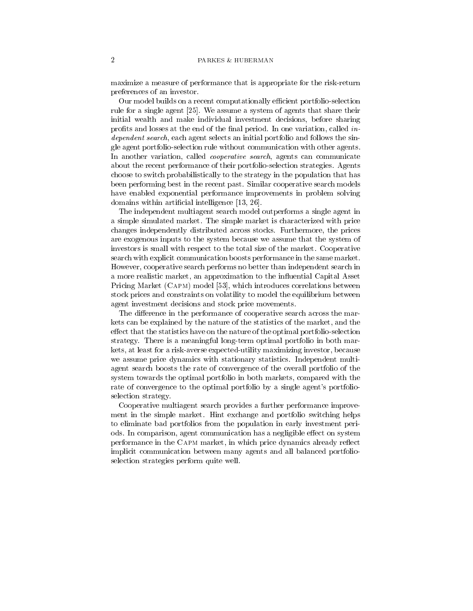maximize a measure of performance that is appropriate for the risk-return preferences of an investor

Our model builds on a recent computationally efficient portfolio-selection rule for a single agent [25]. We assume a system of agents that share their initial wealth and make individual investment decisions, before sharing profits and losses at the end of the final period. In one variation, called *in*dependent search, each agent selects an initial portfolio and follows the single agent portfolio-selection rule without communication with other agents. In another variation, called *cooperative search*, agents can communicate about the recent performance of their portfolio-selection strategies. Agents choose to switch probabilistically to the strategy in the population that has been performing best in the recent past. Similar cooperative search models have enabled exponential performance improvements in problem solving  $\alpha$  is a constant and interesting the components  $\alpha$  interesting  $\alpha$ 

The independent multiagent search model outperforms a single agent in a simple simulated market The simple market is characterized with price changes independently distributed across stocks Furthermore the prices are exogenous inputs to the system because we assume that the system of investors is small with respect to the total size of the market Cooperative search with explicit communication boosts performance in the same market However, cooperative search performs no better than independent search in a more realistic market, an approximation to the influential Capital Asset Pricing Market (CAPM) model [53], which introduces correlations between stock prices and constraints on volatility to model the equilibrium between agent investment decisions and stock price movements

The di-erence in the performance of cooperative search across the mar kets can be explained by the nature of the statistics of the market, and the e-ect that the statistics have on the nature of the optimal portfolioselection strategy. There is a meaningful long-term optimal portfolio in both markets, at least for a risk-averse expected-utility maximizing investor, because we assume price dynamics with stationary statistics. Independent multiagent search boosts the rate of convergence of the overall portfolio of the system towards the optimal portfolio in both markets, compared with the rate of convergence to the optimal portfolio by a single agent's portfolioselection strategy

Cooperative multiagent search provides a further performance improve ment in the simple market. Hint exchange and portfolio switching helps to eliminate bad portfolios from the population in early investment peri ods In comparison and system communication has a negligible e-chance e-compared to see systems. performance in the CAPM market, in which price dynamics already reflect implicit communication between many agents and all balanced portfolio selection strategies perform quite well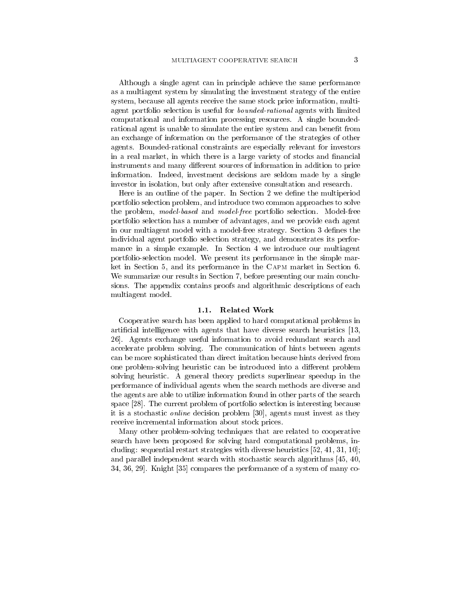Although a single agent can in principle achieve the same performance as a multiagent system by simulating the investment strategy of the entire system, because all agents receive the same stock price information, multiagent portfolio selection is useful for *bounded-rational* agents with limited computational and information processing resources A single bounded rational agent is unable to simulate the entire system and can benefit from an exchange of information on the performance of the strategies of other agents. Bounded-rational constraints are especially relevant for investors in a real market, in which there is a large variety of stocks and financial instruments and many di-erent sources of information in addition to price information. Indeed, investment decisions are seldom made by a single investor in isolation, but only after extensive consultation and research.

Here is an outline of the paper. In Section 2 we define the multiperiod portfolio selection problem, and introduce two common approaches to solve the problem, model-based and model-free portfolio selection. Model-free portfolio selection has a number of advantages and we provide each agent in our multiagent model with a model-free strategy. Section 3 defines the individual agent portfolio selection strategy and demonstrates its perfor mance in a simple example. In Section 4 we introduce our multiagent portfolio-selection model. We present its performance in the simple market in Section 5, and its performance in the CAPM market in Section 6. We summarize our results in Section 7, before presenting our main conclusions The appendix contains proofs and algorithmic descriptions of each multiagent model

Cooperative search has been applied to hard computational problems in articial intelligence with agents that have diverse search heuristics  $\mathbf{r}$  Agents exchange useful information to avoid redundant search and accelerate problem solving. The communication of hints between agents can be more sophisticated than direct imitation because hints derived from one problemsolving heuristic can be introduced into a di-erent problem solving heuristic A general theory predicts superlinear speedup in the performance of individual agents when the search methods are diverse and the agents are able to utilize information found in other parts of the search space  $[28]$ . The current problem of portfolio selection is interesting because it is a stochastic *online* decision problem [30], agents must invest as they receive incremental information about stock prices

Many other problem-solving techniques that are related to cooperative search have been proposed for solving hard computational problems, including sequential restart strategies with diverse heuristics  and parallel independent search with stochastic search algorithms [45, 40, 34, 36, 29. Knight  $[35]$  compares the performance of a system of many co-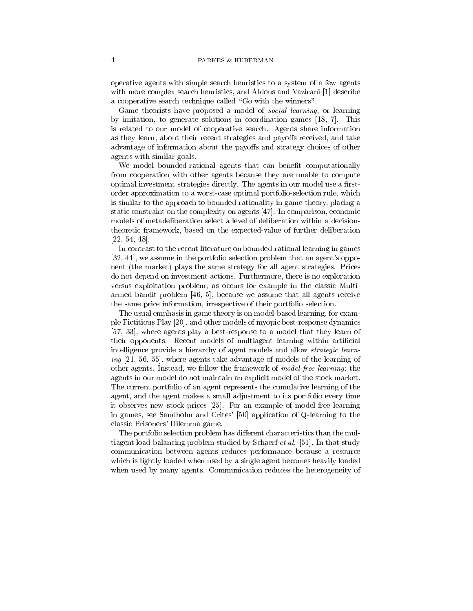operative agents with simple search heuristics to a system of a few agents with more complex search heuristics and Aldous and Vazirani and Vazirani and Vazirani and Vazirani and Vaziran a cooperative search technique called "Go with the winners".

Game theorists have proposed a model of *social learning*, or learning  $\alpha$  is interesting to generation solutions in coordinations games  $\beta$  , i.e. when  $\alpha$ is related to our model of cooperative search Agents share information as they learn about their recent strategies and payo-s received and take advantage of information about the payo-s and strategy choices of other agents with similar goals

We model bounded-rational agents that can benefit computationally from cooperation with other agents because they are unable to compute optimal investment strategies directly. The agents in our model use a firstorder approximation to a worst-case optimal portfolio-selection rule, which is similar to the approach to bounded-rationality in game-theory, placing a static constraint on the complexity on agents In comparison economic models of metadeliberation select a level of deliberation within a decision theoretic framework, based on the expected-value of further deliberation  $[22, 54, 48].$ 

In contrast to the recent literature on bounded-rational learning in games  $[32, 44]$ , we assume in the portfolio selection problem that an agent's opponent (the market) plays the same strategy for all agent strategies. Prices do not depend on investment actions Furthermore there is no exploration versus exploitation problem, as occurs for example in the classic Multiarmed bandit problem  $[46, 5]$ , because we assume that all agents receive the same price information, irrespective of their portfolio selection.

The usual emphasis in game theory is on model-based learning, for example Fictitious Play [20], and other models of myopic best-response dynamics [57, 33], where agents play a best-response to a model that they learn of their opponents. Recent models of multiagent learning within artificial intelligence provide a hierarchy of agent models and allow strategic learn  $\cdots$   $\cdots$  is a contracted advance and  $\cdots$  and  $\cdots$  and  $\cdots$  are learning of other agents. Instead, we follow the framework of model-free learning: the agents in our model do not maintain an explicit model of the stock market The current portfolio of an agent represents the cumulative learning of the agent, and the agent makes a small adjustment to its portfolio every time it observes new stock prices [25]. For an example of model-free learning in games, see Sandholm and Crites' [50] application of Q-learning to the classic Prisoners' Dilemma game.

The portfolio selection problem has di-erent characteristics than the mul thagent load-balancing problem studied by Schaeff et al. [91]. In that study communication between agents reduces performance because a resource which is lightly loaded when used by a single agent becomes heavily loaded when used by many agents. Communication reduces the heterogeneity of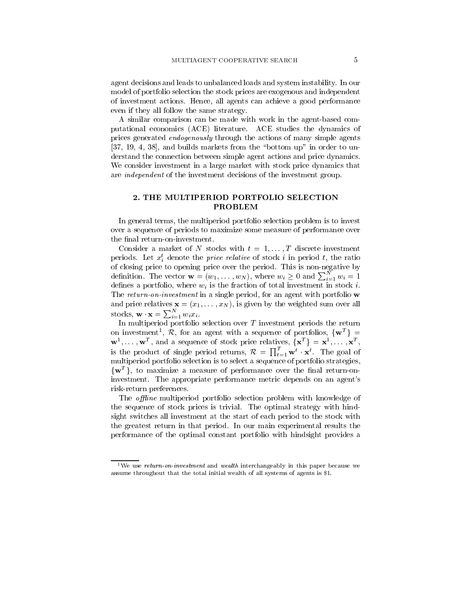agent decisions and leads to unbalanced loads and system instability In our model of portfolio selection the stock prices are exogenous and independent of investment actions. Hence, all agents can achieve a good performance even if they all follow the same strategy

A similar comparison can be made with work in the agent-based computational economics ACE literature ACE studies the dynamics of prices generated endogenously through the actions of many simple agents and builds markets from the bottom up in order to un derstand the connection between simple agent actions and price dynamics We consider investment in a large market with stock price dynamics that are *independent* of the investment decisions of the investment group.

# 2. THE MULTIPERIOD PORTFOLIO SELECTION PROBLEM

In general terms, the multiperiod portfolio selection problem is to invest over a sequence of periods to maximize some measure of performance over the final return-on-investment.

Compact a market of 11 second with the International method of  $\sim$ periods. Let  $x_i$  denote the *price relative* of stock i in period i, the ratio of closing price to opening price over the period. This is non-negative by definition. The vector  $\mathbf{w} = (w_1, \dots, w_N)$ , where  $w_i \geq 0$  and  $\sum_{i=1}^N w_i = 1$ defines a portfolio, where  $w_i$  is the fraction of total investment in stock i. The return-on-investment in a single period, for an agent with portfolio  $w$  $\alpha$  is given by  $\alpha$  and  $\alpha$  is given by the weighted sum over all stocks,  $\mathbf{w} \cdot \mathbf{x} = \sum_{i=1}^{N} w_i x_i$ .

In multiperiod portfolio selection over <sup>T</sup> investment periods the return on investment<sup>1</sup>, R, for an agent with a sequence of portfolios,  $\{w^T\}$  =  $\mathbf{w}^1, \dots, \mathbf{w}^T$ , and a sequence of stock price relatives,  $\{\mathbf{x}^T\} = \mathbf{x}^1, \dots, \mathbf{x}^T$ , is the product of single period returns,  $\mathcal{R} = \prod_{t=1}^{T} \mathbf{w}^t \cdot \mathbf{x}^t$ . The goal of multiperiod portfolio selection is to select a sequence of portfolio strategies  $\{w^T\}$ , to maximize a measure of performance over the final return-oninvestment. The appropriate performance metric depends on an agent's risk-return preferences.

The *offline* multiperiod portfolio selection problem with knowledge of the sequence of stock prices is trivial The optimal strategy with hind sight switches all investment at the start of each period to the stock with the greatest return in that period In our main experimental results the performance of the optimal constant portfolio with hindsight provides a

<sup>&</sup>lt;sup>1</sup>We use *return-on-investment* and *wealth* interchangeably in this paper because we assume throughout that the total initial wealth of all systems of agents is \$1.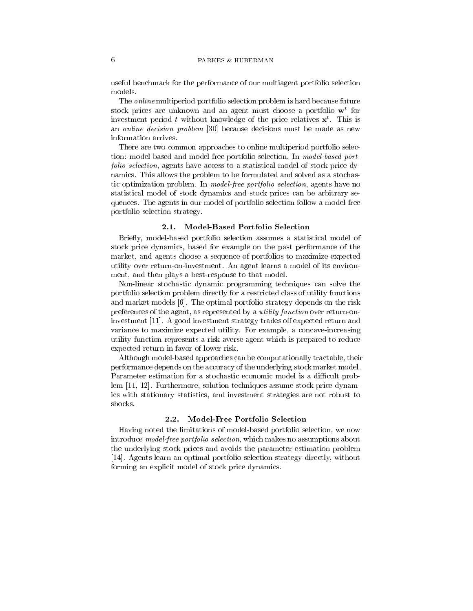useful benchmark for the performance of our multiagent portfolio selection models.

The online multiperiod portfolio selection problem is hard because future stock prices are unknown and an agent must choose a portfolio w<sup>t</sup> for investment period  $\iota$  without knowledge of the price relatives  $\mathbf{x}^*$ . This is an *online decision problem*  $[30]$  because decisions must be made as new information arrives

There are two common approaches to online multiperiod portfolio selec tion: model-based and model-free portfolio selection. In model-based portfolio selection agents have access to a statistical model of stock price dy namics This allows the problem to be formulated and solved as a stochas tic optimization problem. In model-free portfolio selection, agents have no statistical model of stock dynamics and stock prices can be arbitrary se quences. The agents in our model of portfolio selection follow a model-free portfolio selection strategy

Briefly, model-based portfolio selection assumes a statistical model of stock price dynamics, based for example on the past performance of the market, and agents choose a sequence of portfolios to maximize expected utility over return-on-investment. An agent learns a model of its environment, and then plays a best-response to that model.

Non-linear stochastic dynamic programming techniques can solve the portfolio selection problem directly for a restricted class of utility functions and market models [6]. The optimal portfolio strategy depends on the risk preferences of the agent, as represented by a *utility function* over return-oninvestment A good investment strategy trades o- expected return and variance to maximize expected utility. For example, a concave-increasing utility function represents a risk-averse agent which is prepared to reduce expected return in favor of lower risk

Although model-based approaches can be computationally tractable, their performance depends on the accuracy of the underlying stock market model Parameter estimation for a stochastic economic model is a difficult problem Furthermore solution techniques assume stock price dynam ics with stationary statistics and investment strategies are not robust to shocks

Having noted the limitations of model-based portfolio selection, we now introduce *model-free portfolio selection*, which makes no assumptions about the underlying stock prices and avoids the parameter estimation problem Agents learn an optimal portfolioselection strategy directly without forming an explicit model of stock price dynamics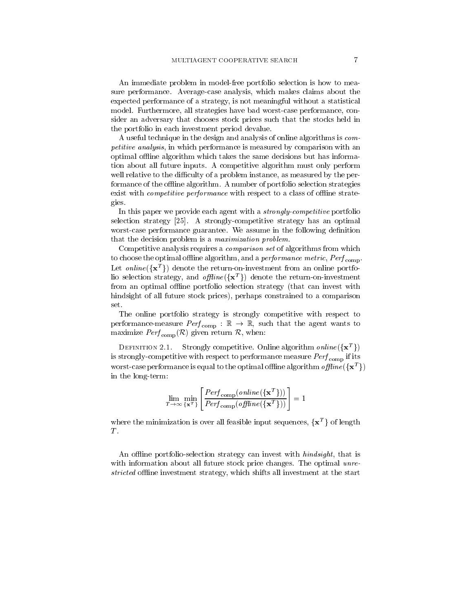An immediate problem in model-free portfolio selection is how to measure performance. Average-case analysis, which makes claims about the expected performance of a strategy is not meaningful without a statistical model. Furthermore, all strategies have bad worst-case performance, consider an adversary that chooses stock prices such that the stocks held in the portfolio in each investment period devalue

A useful technique in the design and analysis of online algorithms is com petitive analysis, in which performance is measured by comparison with an optimal offline algorithm which takes the same decisions but has information about all future inputs A competitive algorithm must only perform well relative to the difficulty of a problem instance, as measured by the performance of the offline algorithm. A number of portfolio selection strategies exist with *competitive performance* with respect to a class of offline strategies

In this paper we provide each agent with a *strongly-competitive* portfolio selection strategy  $[25]$ . A strongly-competitive strategy has an optimal worst-case performance guarantee. We assume in the following definition that the decision problem is a maximization problem

Competitive analysis requires a comparison set of algorithms from which to choose the optimal omine algorithm, and a *performance metric*, T  $e_{l}$   $_{\rm{comb}}$ . Let *online*  $({x^T})$  denote the return-on-investment from an online portfolio selection strategy, and offline  $({x^T})$  denote the return-on-investment from an optimal offline portfolio selection strategy (that can invest with hindsight of all future stock prices), perhaps constrained to a comparison set

The online portfolio strategy is strongly competitive with respect to performance-measure Perf  $_{\rm{comp}}$  :  $\mathbb{K} \to \mathbb{K}$ , such that the agent wants to maximize  $\mathit{Perf}_{\mathrm{comp}}(\mathcal{R})$  given return  $\mathcal{R},$  when:

DEFINITION 2.1. Strongly competitive. Online algorithm  $\mathit{online}(\{ \mathbf{x}^T \})$ is stronglycompetitive with respect to performance measurement  $\sim$   $\sim$   $\sim$   $\sim$   $\sim$   $\sim$   $\sim$ worst-case performance is equal to the optimal offline algorithm offline  $({x^T})$ in the long-term:

$$
\lim_{T \to \infty} \min_{\{\mathbf{x}^T\}} \left[ \frac{Perf_{\text{comp}}(online(\{\mathbf{x}^T\}))}{Perf_{\text{comp}}(offline(\{\mathbf{x}^T\}))} \right] = 1
$$

where the minimization is over all feasible input sequences,  $\{x^T\}$  of length T.<br>An offline portfolio-selection strategy can invest with *hindsight*, that is

with information about all future stock price changes. The optimal unrestricted oineire investment strategy which shifts and investment at the started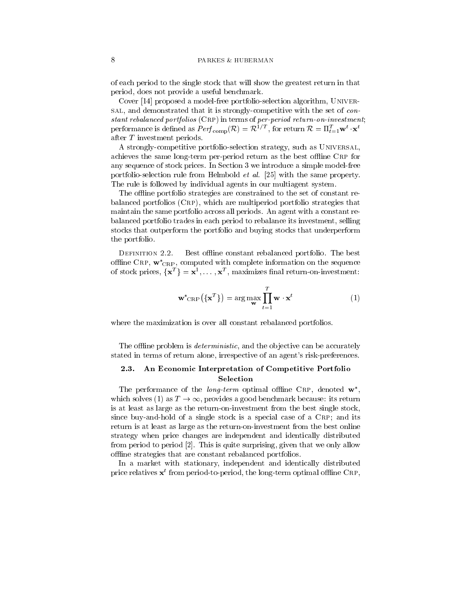of each period to the single stock that will show the greatest return in that period, does not provide a useful benchmark.

Cover proposed a modelfree portfolioselection algorithm Univer sal, and demonstrated that it is strongly-competitive with the set of con $s$ tant rebalanced portfolios ( $CRF$ ) in terms of per-period return-on-investment, performance is defined as  $Perf_{\,\rm comp}({\cal R})={\cal R}^{\,1\,\prime\,\,I}$  , for return  ${\cal R}=\Pi_{t=1}^{\,I} {\bf w}^t\cdot{\bf x}^t$ after <sup>T</sup> investment periods

A strongly-competitive portfolio-selection strategy, such as UNIVERSAL, achieves the same long-term per-period return as the best offline CRP for any sequence of stock prices. In Section 3 we introduce a simple model-free portfolio-selection rule from Helmbold  $\epsilon_{\ell}$  al.  $\vert z_0 \vert$  with the same property. The rule is followed by individual agents in our multiagent system

The offline portfolio strategies are constrained to the set of constant rebalanced portfolios  $(CRP)$ , which are multiperiod portfolio strategies that maintain the same portfolio across all periods An agent with a constant re balanced portfolio trades in each period to rebalance its investment, selling stocks that outperform the portfolio and buying stocks that underperform the portfolio

Best offline constant rebalanced portfolio. The best offline CRP,  $\mathbf{w}^*_{CRP}$ , computed with complete information on the sequence of stock prices,  $\{x^T\} = x^1, \ldots, x^T$ , maximizes final return-on-investment:

$$
\mathbf{w}^*_{\text{CRP}}(\{\mathbf{x}^T\}) = \arg\max_{\mathbf{w}} \prod_{t=1}^T \mathbf{w} \cdot \mathbf{x}^t
$$
 (1)

where the maximization is over all constant rebalanced portfolios

The offline problem is *deterministic*, and the objective can be accurately stated in terms of return alone, irrespective of an agent's risk-preferences.

# An Economic Interpretation of Competitive Portfolio Selection

The performance of the *long-term* optimal offline CRP, denoted  $\mathbf{w}^*$ , which solves (1) as  $T \to \infty$ , provides a good benchmark because: its return is at least as large as the return-on-investment from the best single stock, since buy-and-hold of a single stock is a special case of a  $CRP$ ; and its return is at least as large as the return-on-investment from the best online strategy when price changes are independent and identically distributed from period to period  $[2]$ . This is quite surprising, given that we only allow offline strategies that are constant rebalanced portfolios.

In a market with stationary, independent and identically distributed price relatives  $\mathbf x$  from period-to-period, the long-term optimal officine  $\mathbf C_{\rm RF}$ ,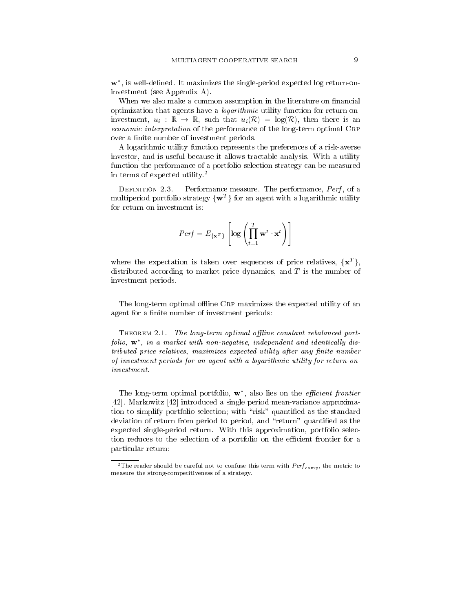$\mathbf{w}^*$ , is well-defined. It maximizes the single-period expected log return-oninvestment (see Appendix A).

When we also make a common assumption in the literature on financial optimization that agents have a *logarithmic* utility function for return-oninvestment,  $u_i : \mathbb{R} \to \mathbb{R}$ , such that  $u_i(\mathcal{R}) = \log(\mathcal{R})$ , then there is an economic interpretation of the performance of the longterm optimal Crp over a finite number of investment periods.

A logarithmic utility function represents the preferences of a risk-averse investor, and is useful because it allows tractable analysis. With a utility function the performance of a portfolio selection strategy can be measured in terms of expected utility

Performance measure. The performance, *Perf*, of a multiperiod portfolio strategy  $\{w^T\}$  for an agent with a logarithmic utility for return-on-investment is:

$$
Perf = E_{\{\mathbf{x}^T\}} \left[ \log \left( \prod_{t=1}^T \mathbf{w}^t \cdot \mathbf{x}^t \right) \right]
$$

where the expectation is taken over sequences of price relatives,  $\{x^T\}$ , distributed according to market price dynamics, and  $T$  is the number of investment periods

The long-term optimal offline CRP maximizes the expected utility of an agent for a finite number of investment periods:

 $\Gamma$  he can  $\Gamma$  is the long-term optimal of the constant rebalanced portfolio,  $\mathbf{w}^*$ , in a market with non-negative, independent and identically distributed price relatives maximizes expected utility after any nite number of investment periods for an agent with a logarithmic utility for return-on $investment.$ 

The long-term optimal portfolio,  $w^*$ , also lies on the *efficient frontier* [42]. Markowitz  $[42]$  introduced a single period mean-variance approximation to simplify portfolio selection; with "risk" quantified as the standard deviation of return from period to period, and "return" quantified as the expected single-period return. With this approximation, portfolio selection reduces to the selection of a portfolio on the efficient frontier for a particular return

<sup>-</sup> The reader should be careful not to confuse this term with *Perf* <sub>comp</sub>, the metric to measure the strong-competitiveness of a strategy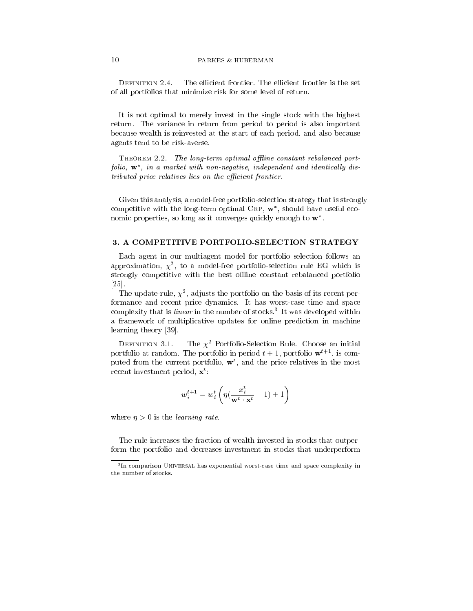DEFINITION 2.4. The efficient frontier. The efficient frontier is the set of all portfolios that minimize risk for some level of return

It is not optimal to merely invest in the single stock with the highest return. The variance in return from period to period is also important because wealth is reinvested at the start of each period, and also because agents tend to be risk-averse.

 $\Gamma$  he only term optimal of the constant rebalanced portfolio,  $\mathbf{w}^*$ , in a market with non-negative, independent and identically distributed price relatives lies on the efficient frontier.

Given this analysis, a model-free portfolio-selection strategy that is strongly competitive with the long-term optimal  $CRP, w^*$ , should have useful economic properties, so long as it converges quickly enough to  $w^*$ .

Each agent in our multiagent model for portfolio selection follows an approximation,  $\chi^{\pm}$ , to a model-free portfolio-selection rule EG which is strongly competitive with the best offline constant rebalanced portfolio  $\left[25\right]$ 

The update-rule,  $\chi$ -, adjusts the portfolio on the basis of its recent performance and recent price dynamics. It has worst-case time and space complexity that is linear in the number of stocks It was developed within a framework of multiplicative updates for online prediction in machine learning theory [39].

The  $\chi^2$  Portfolio-Selection Rule. Choose an initial portfolio at random. The portfolio in period  $t + 1$ , portfolio  $w^+$ , is computed from the current portfolio, **w**, and the price relatives in the most recent investment period, **x** :

$$
w^{t+1}_i = w^t_i \left( \eta(\frac{x^t_i}{\mathbf{w}^t \cdot \mathbf{x}^t} - 1) + 1 \right)
$$

where  $\eta > 0$  is the *learning rate*.

The rule increases the fraction of wealth invested in stocks that outper form the portfolio and decreases investment in stocks that underperform

In comparison Universal has exponential worst-case time and space complexity in the number of stocks.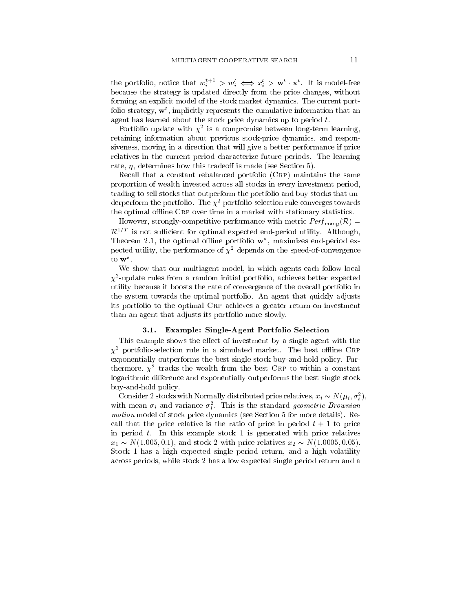the portfolio, notice that  $w_i^{e+1} > w_i^e \iff x_i^e > \mathbf{w}^e \cdot \mathbf{x}^e$ . It is model-free because the strategy is updated directly from the price changes, without forming an explicit model of the stock market dynamics. The current portfolio strategy w<sup>t</sup> implicitly represents the cumulative information that an agent has learned about the stock price dynamics up to period  $t$ .

Portfolio update with  $\chi^{\perp}$  is a compromise between long-term learning, retaining information about previous stock-price dynamics, and responsiveness, moving in a direction that will give a better performance if price relatives in the current period characterize future periods The learning rate determines how this tradeo- is made see Section . The section of  $\mathcal{E}_t$ 

Recall that a constant rebalanced portfolio  $(CRP)$  maintains the same proportion of wealth invested across all stocks in every investment period trading to sell stocks that outperform the portfolio and buy stocks that un derperform the portfolio. The  $\chi^2$  portfolio-selection rule converges towards the optimal offline  $CRP$  over time in a market with stationary statistics.

However, strongly-competitive performance with metric  $\mathit{Perf}_\mathrm{comp}(\mathcal{R})=$  $\mathcal{R}^{1/T}$  is not sufficient for optimal expected end-period utility. Although, Theorem 2.1, the optimal offline portfolio  $w^*$ , maximizes end-period expected utility, the performance of  $\chi^2$  depends on the speed-of-convergence to w

We show that our multiagent model, in which agents each follow local  $\chi$  -update rules from a random initial portfolio, achieves better expected  $\chi$ utility because it boosts the rate of convergence of the overall portfolio in the system towards the optimal portfolio An agent that quickly adjusts its portfolio to the optimal CRP achieves a greater return-on-investment than an agent that adjusts its portfolio more slowly

### -- Example SingleAgent Portfolio Selection

the example shows the example of investment by a single agent with the single  $\chi^2$  portfolio-selection rule in a simulated market. The best offline CRP exponentially outperforms the best single stock buy-and-hold policy. Furthermore,  $\chi^+$  tracks the wealth from the best  $\cup$ RP to within a constant logarithmic di-erence and exponentially outperforms the best single stock buy-and-hold policy.

Consider 2 stocks with Normally distributed price relatives,  $x_i \sim N(\mu_i, \sigma_i)$ , with mean  $\sigma_i$  and variance  $\sigma_i$ . This is the standard *geometric Brownian* motion motion as stock price dynamics (see Sections + Assets access  $\mu$  and  $\mu$ called the called price relative is the ratio of price in period t , a sequence is the price of  $\sim$ in period to the this example stock to generated with price relatives as  $x_1 \sim N(1.005, 0.1)$ , and stock  $\angle$  with price relatives  $x_2 \sim N(1.0005, 0.05)$ . Stock has a high expected single period return and a high volatility across periods, while stock 2 has a low expected single period return and a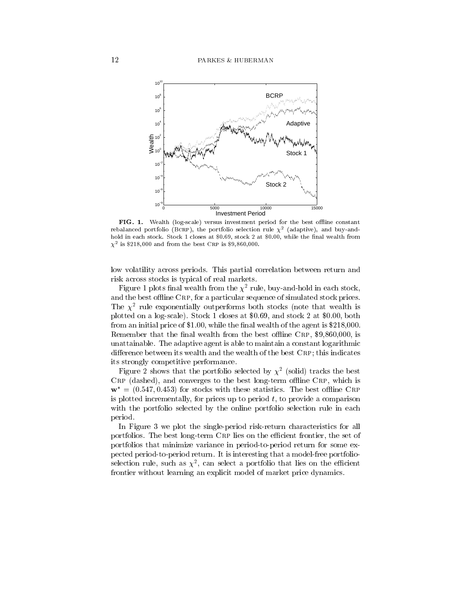

FIG - Wealth log-scale versus investment period for the best oine constant rebalanced portfolio (DCRP), the portfolio selection rule  $\chi$  - (adaptive), and buy-andhold in each stock Stock Stock Stock Stock Stock Stock Stock Stock Stock Stock Stock Stock Stock Stock Stock S  $\chi$  - is  $\phi$ 210,000 and from the best CRP is  $\phi$ 9,000,000.

low volatility across periods. This partial correlation between return and risk across stocks is typical of real markets

 ${\tt r}$  igure 1 plots final wealth from the  $\chi^-$  rule, buy-and-nold in each stock, and the best offline CRP, for a particular sequence of simulated stock prices. The  $\chi$ -rule exponentially outperforms both stocks (note that wealth is plotted on a log close stock at both at and stock at and stock at and stock at  $\sim$ from an interesting price of  $\phi$  and  $\phi$  is the agent is the agent is the agent is  $\phi$  and the agent is the agent is the agent is the agent is the agent is the agent in  $\phi$  and  $\phi$ Remember that the final wealth from the best offline CRP, \$9,860,000, is unattainable. The adaptive agent is able to maintain a constant logarithmic di-erence between its wealth and the wealth and the wealth and the wealth of the best Crp this indicates wealth its strongly competitive performance

Figure 2 shows that the portfolio selected by  $\chi$  (solid) tracks the best  $CRP$  (dashed), and converges to the best long-term offline  $CRP$ , which is  $\mathbf{w}^* = (0.547, 0.453)$  for stocks with these statistics. The best offline CRP is plotted incrementally, for prices up to period  $t$ , to provide a comparison with the portfolio selected by the online portfolio selection rule in each period

In Figure 3 we plot the single-period risk-return characteristics for all portfolios. The best long-term CRP lies on the efficient frontier, the set of portfolios that minimize variance in period-to-period return for some expected period-to-period return. It is interesting that a model-free portfolioselection rule, such as  $\chi^-,$  can select a portfolio that lies on the efficient frontier without learning an explicit model of market price dynamics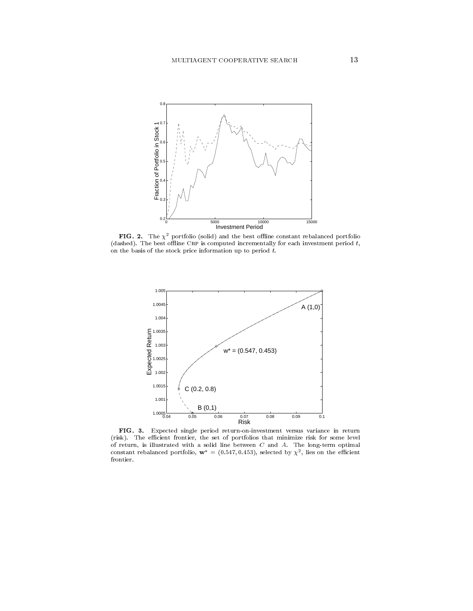

**PIG.**  $\boldsymbol{z}$ . The  $\boldsymbol{\chi}$  -portfolio (solid) and the best online constant rebalanced portfolio (dashed). The best offline CRP is computed incrementally for each investment period  $t$ , on the basis of the stock price information up to period  $t$ .



FIG Expected single period return-on-investment versus variance in return (risk). The efficient frontier, the set of portfolios that minimize risk for some level of return is illustrated with a solid line between C and A The long-term optimal constant reparanced portfolio,  $w = (0.547, 0.455)$ , selected by  $\chi$ , ries on the emicient frontier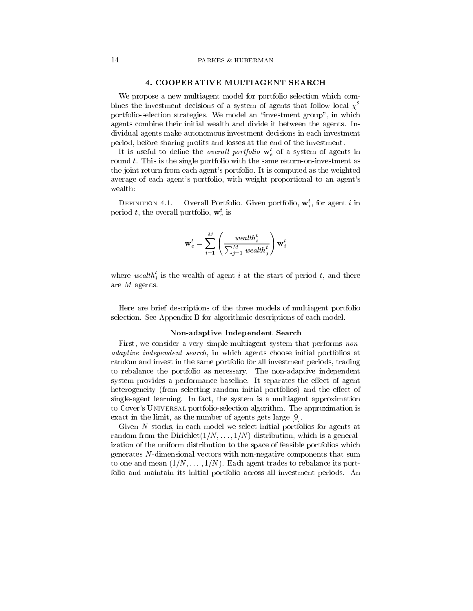We propose a new multiagent model for portfolio selection which com bines the investment decisions of a system of agents that follow local  $\chi^2$ portfolio-selection strategies. We model an "investment group", in which agents combine their initial wealth and divide it between the agents. Individual agents make autonomous investment decisions in each investment period, before sharing profits and losses at the end of the investment.

It is useful to define the *overall portfolio*  $\mathbf{w}_e^t$  of a system of agents in round  $t$ . This is the single portfolio with the same return-on-investment as the joint return from each agent's portfolio. It is computed as the weighted average of each agent's portfolio, with weight proportional to an agent's wealth

Overall Fortfolio. Given portfolio,  $w_i$ , for agent  $i$  in period t, the overall portfolio,  $\mathbf{w}_e^t$  is

$$
\mathbf{w}_e^t = \sum_{i=1}^M \left(\frac{wealth_i^t}{\sum_{j=1}^M \textit{wealth}_j^t}\right) \mathbf{w}_i^t
$$

where wealth; is the wealth of agent i at the start of period t, and there are  $M$  agents.

Here are brief descriptions of the three models of multiagent portfolio selection. See Appendix B for algorithmic descriptions of each model.

### Nonadaptive Independent Search

First, we consider a very simple multiagent system that performs nonadaptive independent search in which agents choose initial portfolios at random and invest in the same portfolio for all investment periods, trading to rebalance the portfolio as necessary. The non-adaptive independent system provides a performance baseline It separates the e-ect of agent heterogeneity from selecting random initial portfolios and the e-ect of single-agent learning. In fact, the system is a multiagent approximation to Cover's UNIVERSAL portfolio-selection algorithm. The approximation is exact in the limit, as the number of agents gets large  $[9]$ .

Given N stocks, in each model we select initial portfolios for agents at  $\mathbf{r}_i$  . The distribution of  $\mathbf{r}_i$  ,  $\mathbf{r}_i$  ,  $\mathbf{r}_i$  ,  $\mathbf{r}_i$  ,  $\mathbf{r}_i$  and  $\mathbf{r}_i$  are distribution to a general to  $\mathbf{r}_i$ ization of the uniform distribution to the space of feasible portfolios which generates  $N$ -dimensional vectors with non-negative components that sum  $\sim$  one and mean  $\{1\}$ ,  $\cdots$   $\{1\}$ ,  $\cdots$  bach agent trades to rebalance its port folio and maintain its initial portfolio across all investment periods An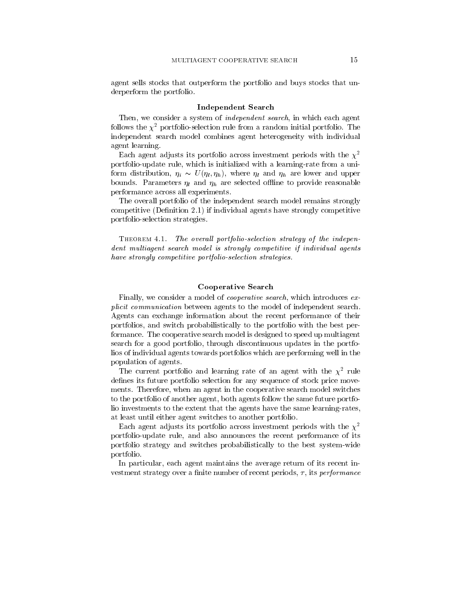agent sells stocks that outperform the portfolio and buys stocks that un derperform the portfolio

#### Independent Search

Then, we consider a system of *independent search*, in which each agent follows the  $\chi^2$  portfolio-selection rule from a random initial portfolio. The independent search model combines agent heterogeneity with individual agent learning

Each agent adjusts its portfolio across investment periods with the  $\chi^2$ portfolio-update rule, which is initialized with a learning-rate from a uniform distribution,  $\eta_i \sim U(\eta_i, \eta_h)$ , where  $\eta_l$  and  $\eta_h$  are lower and upper bounds. Parameters  $\eta_l$  and  $\eta_h$  are selected offline to provide reasonable performance across all experiments

The overall portfolio of the independent search model remains strongly competitive Decision and Decision agents have strongly competitive design and the competitive competitive design portfolio-selection strategies.

 $\Gamma$  he overall portfolioselection strategy of the independent multiagent search model is strongly competitive if individual agents have strongly competitive portfolio-selection strategies

# Cooperative Search

Finally, we consider a model of *cooperative search*, which introduces explicit communication between agents to the model of independent search Agents can exchange information about the recent performance of their portfolios and switch probabilistically to the portfolio with the best per formance. The cooperative search model is designed to speed up multiagent search for a good portfolio, through discontinuous updates in the portfolios of individual agents towards portfolios which are performing well in the population of agents

The current portfolio and learning rate of an agent with the  $\chi$  -rule defines its future portfolio selection for any sequence of stock price movements. Therefore, when an agent in the cooperative search model switches to the portfolio of another agent, both agents follow the same future portfolio investments to the extent that the agents have the same learning-rates, at least until either agent switches to another portfolio

Each agent adjusts its portfolio across investment periods with the  $\chi^2$ portfolio-update rule, and also announces the recent performance of its portfolio strategy and switches probabilistically to the best systemwide portfolio

In particular, each agent maintains the average return of its recent investment strategy over a finite number of recent periods,  $\tau$ , its *performance*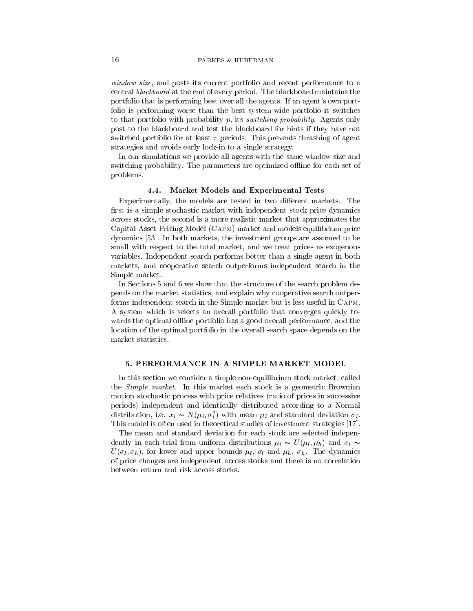window size and posts its current portfolio and recent performance portfolio and recent performance to an central blackboard at the end of every period. The blackboard maintains the portfolio that is performing best over all the agents. If an agent's own portfolio is performing worse than the best system-wide portfolio it switches to that portfolio with probability p, its *switching probability*. Agents only post to the blackboard and test the blackboard for hints if they have not switched portfolio for at least  $\tau$  periods. This prevents thrashing of agent strategies and avoids early lock-in to a single strategy.

In our simulations we provide all agents with the same window size and switching probability. The parameters are optimized offline for each set of problems

### Market Models and Experimental Tests

Experimentally the models are tested in two di-erent markets The first is a simple stochastic market with independent stock price dynamics across stocks the second is a more realistic market that approximates the Capital Asset Pricing Model (CAPM) market and models equilibrium price dynamics [53]. In both markets, the investment groups are assumed to be small with respect to the total market, and we treat prices as exogenous variables Independent search performs better than a single agent in both markets, and cooperative search outperforms independent search in the Simple market

In Sections 5 and 6 we show that the structure of the search problem depends on the market statistics and explain why cooperative search outper forms independent search in the Simple market but is less useful in Capm A system which isselects an overall portfolio that converges quickly to wards the optimal offline portfolio has a good overall performance, and the location of the optimal portfolio in the overall search space depends on the market statistics

In this section we consider a simple non-equilibrium stock market, called the *Simple market*. In this market each stock is a geometric Brownian motion stochastic process with price relatives (ratio of prices in successive periods) independent and identically distributed according to a Normal distribution, i.e.  $x_i \sim N(\mu_i, \sigma_i)$  with mean  $\mu_i$  and standard deviation  $\sigma_i$ . This model is often used in theoretical studies of investment strategies

The mean and standard deviation for each stock are selected indepen dently in each trial from uniform distributions  $\mu_i \sim U(\mu_i, \mu_h)$  and  $\sigma_i \sim$  $U(\sigma_l, \sigma_h)$ , for lower and upper bounds  $\mu_l$ ,  $\sigma_l$  and  $\mu_h$ ,  $\sigma_h$ . The dynamics of price changes are independent across stocks and there is no correlation between return and risk across stocks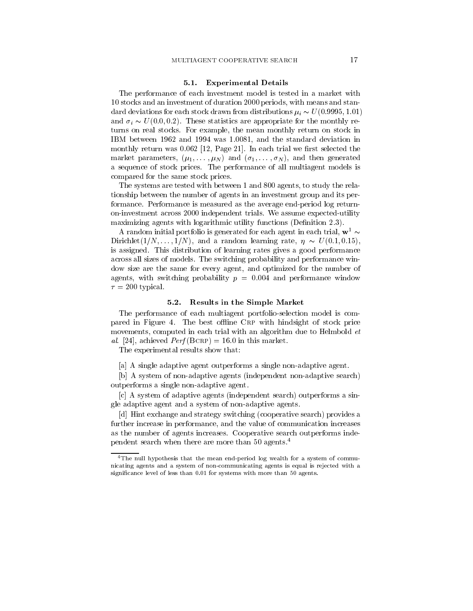### - And the second control of the second control of the second control of the second control of the second control of the second control of the second control of the second control of the second control of the second control

The performance of each investment model is tested in a market with stocks and an investment of duration periods with means and stan dard deviations for each stock drawn from distributions  $\mu_i \thicksim U$  (0.9999, 1.01) and  $\sigma_i \sim U(0.0, 0.2)$ . These statistics are appropriate for the monthly returns on real stocks. For example, the mean monthly return on stock in and the standard deviation in the standard deviation in the standard deviation in the standard deviation of th monthly return was the corresponding to  $\Delta$  and the corresponding the correction of the correction of the correction of the correction of the correction of the correction of the correction of the correction of the correct  $\sum_{i=1}^n \sum_{i=1}^n \sum_{i=1}^n \sum_{i=1}^n \sum_{i=1}^n \sum_{i=1}^n \sum_{i=1}^n \sum_{i=1}^n \sum_{i=1}^n \sum_{i=1}^n \sum_{i=1}^n \sum_{i=1}^n \sum_{i=1}^n \sum_{i=1}^n \sum_{i=1}^n \sum_{i=1}^n \sum_{i=1}^n \sum_{i=1}^n \sum_{i=1}^n \sum_{i=1}^n \sum_{i=1}^n \sum_{i=1}^n \sum_{i=1}^n \sum_{i=1}^n \sum_{i$ a sequence of stock prices. The performance of all multiagent models is compared for the same stock prices

The system are tested with between  $\mathbf{A}$  and  $\mathbf{A}$  agents the relationship the relationship the relationship the relationship to study the relationship to study the relationship to study the relationship to study th tionship between the number of agents in an investment group and its per formance. Performance is measured as the average end-period log returnon-investment across 2000 independent trials. We assume expected-utility maximizing agents with logarithmic utility functions (Definition  $2.3$ ).

A random initial portfolio is generated for each agent in each trial,  $w<sup>1</sup>$  ~ Dirichlet  $(1/N, \ldots, 1/N)$ , and a random learning rate,  $\eta \sim U(0.1, 0.15)$ , is assigned. This distribution of learning rates gives a good performance across all sizes of models The switching probability and performance win dow size are the same for every agent, and optimized for the number of agrees with switching probability p - and performance windows windows  $\tau = 200$  typical.

#### -- Results in the Simple Market

The performance of each multiagent portfolioselection model is com pared in Figure 4. The best offline CRP with hindsight of stock price movements, computed in each trial with an algorithm due to Helmbold et al- achieved Perf Bcrp - in this market

The experimental results show that

[a] A single adaptive agent outperforms a single non-adaptive agent.

[b] A system of non-adaptive agents (independent non-adaptive search) outperforms a single non-adaptive agent.

 $[c]$  A system of adaptive agents (independent search) outperforms a single adaptive agent and a system of non-adaptive agents.

[d] Hint exchange and strategy switching (cooperative search) provides a further increase in performance, and the value of communication increases as the number of agents increases Cooperative search outperforms inde pendent search when there are more than  $50$  agents.<sup>4</sup>

The null hypothesis that the mean end-period log wealth for a system of communicating agents and a system of non-communicating agents is equal is rejected with a significance level of less than  $0.01$  for systems with more than  $50$  agents.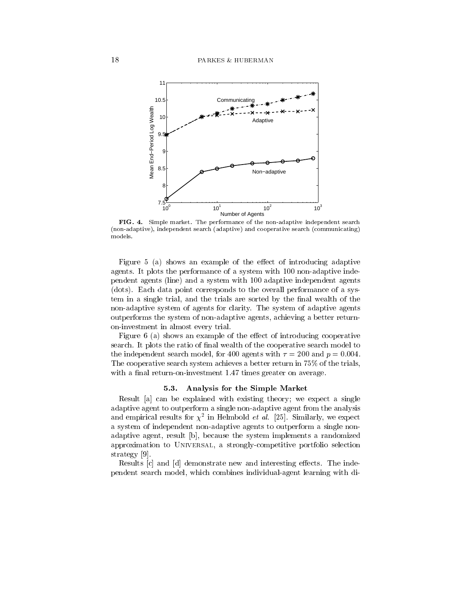

FIG Simple market The performance of the non-adaptive independent search non-adaptive independent search adaptive and cooperative search communicating models

 $\mathcal{F}$  and a show an example of the example of the example adaptive  $\mathcal{F}$ agents It plots the performance of a system with the most discuss  $\sim$ pendent agents line and a system with adaptive independent agents (dots). Each data point corresponds to the overall performance of a system in a single trial, and the trials are sorted by the final wealth of the non-adaptive system of agents for clarity. The system of adaptive agents outperforms the system of nonadaptive agents achieving a better return on-investment in almost every trial.

 $\mathcal{F}$  introducing and the example of the example of the example of the position  $\mathcal{F}$ search. It plots the ratio of final wealth of the cooperative search model to the independent search model for a search model for a generator  $\mathbf r$  and  $\mathbf r$  -and p -and p -and p -and p -and p -and p -and p -and p -and p -and p -and p -and p -and p -and p -and p -and p -and p -and p -and p -and The cooperative search system achieves a better return in  $75\%$  of the trials, with a single-turnoninvestment  $\mathbf{r}$  and average greater on average greater on average greater on average greater  $\mathbf{r}$ 

### -- Analysis for the Simple Market

Result [a] can be explained with existing theory; we expect a single adaptive agent to outperform a single non-adaptive agent from the analysis and empirical results for  $\chi$  – in Helmbold *et al.* [25]. Similarly, we expect a system of independent non-adaptive agents to outperform a single nonadaptive agent, result [b], because the system implements a randomized approximation to UNIVERSAL, a strongly-competitive portfolio selection strategy [9].

results can demonstrate new and interesting the interesting extensive contracts the index of the index of the i pendent search model, which combines individual-agent learning with di-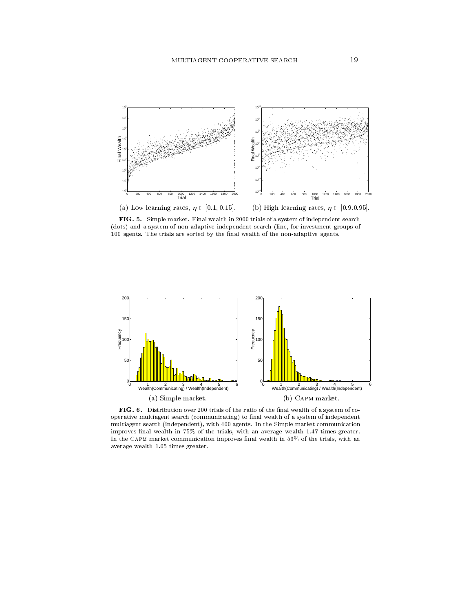

FIG. 5. Simple market. Final wealth in 2000 trials of a system of independent search dots and a system of non-adaptive independent search line for investment groups of are agents the trials are sorted by the name wealth of the non-presentation of the non-



FIG. 6. Distribution over 200 trials of the ratio of the final wealth of a system of cooperative multiagent search communicating to nal wealth of a system of independent multiagent search (independent), with 400 agents. In the Simple market communication improves final wealth in 75% of the trials, with an average wealth 1.47 times greater. In the CAPM market communication improves final wealth in  $53\%$  of the trials, with an average wealth 1.05 times greater.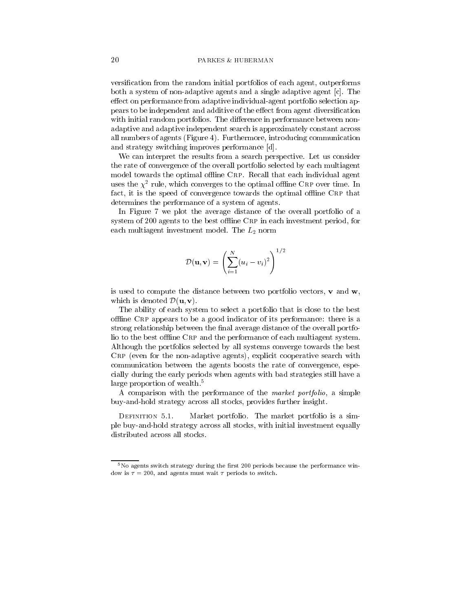versification from the random initial portfolios of each agent, outperforms both a system of non-adaptive agents and a single adaptive agent  $[c]$ . The e-ect on performance from adaptive individualagent portfolio selection ap pears to be independent and additive of the e-ditive of the e-ditive of the e-ditive of the e-ditive of the ewith initial random portfolios The di-Care in performance between non-di-Care in performance between  $\sim$ adaptive and adaptive independent search is approximately constant across all numbers of agents (Figure 4). Furthermore, introducing communication and strategy switching improves performance [d].

We can interpret the results from a search perspective. Let us consider the rate of convergence of the overall portfolio selected by each multiagent model towards the optimal offline CRP. Recall that each individual agent uses the  $\chi$ -rule, which converges to the optimal offinie CRP over time. In fact, it is the speed of convergence towards the optimal offline CRP that determines the performance of a system of agents

In Figure 7 we plot the average distance of the overall portfolio of a system of  $200$  agents to the best offline CRP in each investment period, for each multiagent investment model. The  $L_2$  norm

$$
\mathcal{D}(\mathbf{u}, \mathbf{v}) = \left(\sum_{i=1}^N (u_i - v_i)^2\right)^{1/2}
$$

is used to compute the distance between two portfolio vectors,  $\bf{v}$  and  $\bf{w}$ , which is denoted  $\mathcal{D}(\mathbf{u}, \mathbf{v})$ .

The ability of each system to select a portfolio that is close to the best offline CRP appears to be a good indicator of its performance: there is a strong relationship between the final average distance of the overall portfolio to the best offline CRP and the performance of each multiagent system. Although the portfolios selected by all systems converge towards the best  $CRP$  (even for the non-adaptive agents), explicit cooperative search with communication between the agents boosts the rate of convergence, especially during the early periods when agents with bad strategies still have a large proportion of wealth.<sup>5</sup>

A comparison with the performance of the *market portfolio*, a simple buy-and-hold strategy across all stocks, provides further insight.

Market portfolio. The market portfolio is a simple buy-and-hold strategy across all stocks, with initial investment equally distributed across all stocks

 $5$ No agents switch strategy during the first 200 periods because the performance window is  $\tau = 200$ , and agents must wait  $\tau$  periods to switch.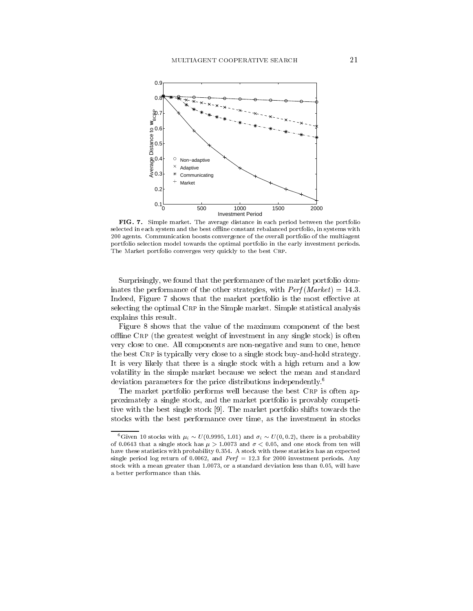

FIG. 7. Simple market. The average distance in each period between the portfolio selected in each system and the best offline constant rebalanced portfolio, in systems with 200 agents. Communication boosts convergence of the overall portfolio of the multiagent portfolio selection model towards the optimal portfolio in the early investment periods The Market portfolio converges very quickly to the best CRP.

Surprisingly, we found that the performance of the market portfolio domintervals the performance of the other strategies with  $\mathcal{L}$  and  $\mathcal{L}$  are  $\mathcal{L}$ Indeed Figure shows that the market portfolio is the most e-ective at selecting the optimal CRP in the Simple market. Simple statistical analysis explains this result

Figure 8 shows that the value of the maximum component of the best offline CRP (the greatest weight of investment in any single stock) is often very close to one. All components are non-negative and sum to one, hence the best  $CRP$  is typically very close to a single stock buy-and-hold strategy. It is very likely that there is a single stock with a high return and a low volatility in the simple market because we select the mean and standard deviation parameters for the price distributions independently.<sup>6</sup>

The market portfolio performs well because the best CRP is often approximately a single stock and the market portfolio is provably competi tive with the best single stock [9]. The market portfolio shifts towards the stocks with the best performance over time, as the investment in stocks

<sup>-</sup>Given to stocks with  $\mu_i \sim U(0.9995, 1.01)$  and  $\sigma_i \sim U(0, 0.2)$ , there is a probability  $\alpha$  single stock from the stock from  $\mu$  , and the stock from the stock from the stock from the stock from the stock from the stock from the stock from the stock from the stock from the stock from the stock from the sto have these statistics with probability 0.354. A stock with these statistics has an expected single period log return of and Perf - for investment periods Any stock with a mean greater than 1.0073, or a standard deviation less than 0.05, will have a better performance than this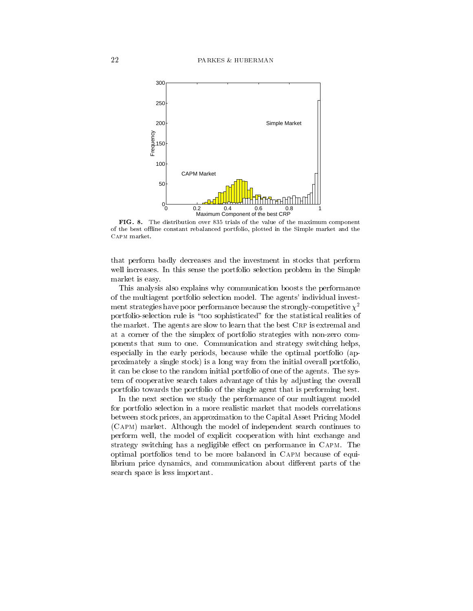

FIG. 8. The distribution over 835 trials of the value of the maximum component of the best offline constant rebalanced portfolio, plotted in the Simple market and the Capm market

that perform badly decreases and the investment in stocks that perform well increases. In this sense the portfolio selection problem in the Simple market is easy

This analysis also explains why communication boosts the performance of the multiagent portfolio selection model. The agents' individual investment strategies have poor performance because the strongly-competitive  $\chi^2$ portfolio-selection rule is "too sophisticated" for the statistical realities of the market. The agents are slow to learn that the best CRP is extremal and at a corner of the the simplex of portfolio strategies with nonzero com ponents that sum to one Communication and strategy switching helps especially in the early periods, because while the optimal portfolio (approximately a single stock is a long way from the initial overall portfolio it can be close to the random initial portfolio of one of the agents. The system of cooperative search takes advantage of this by adjusting the overall portfolio towards the portfolio of the single agent that is performing best

In the next section we study the performance of our multiagent model for portfolio selection in a more realistic market that models correlations between stock prices an approximation to the Capital Asset Pricing Model (CAPM) market. Although the model of independent search continues to perform well, the model of explicit cooperation with hint exchange and strategy switching has a negligible external performance in Capp Capm Theory optimal portfolios tend to be more balanced in Capm because of equi librium price dynamics and communication about di-erent parts of the search space is less important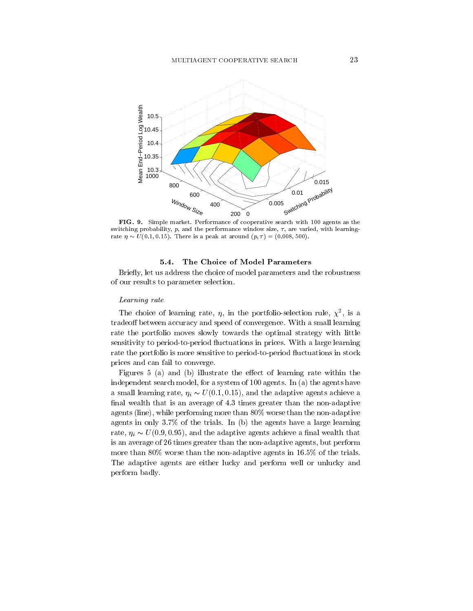

FIG Simple market Performance of cooperative search with agents as the switching probability,  $p$ , and the performance window size,  $\tau$ , are varied, with learningrate is a peak at around the peak at around the protocol of the second protocol of the second protocol of the s

Briefly, let us address the choice of model parameters and the robustness of our results to parameter selection

### Learning rate

The choice of learning rate,  $\eta$ , in the portfolio-selection rule,  $\chi$ , is a tradeo- between accuracy and speed of convergence With a small learning rate the portfolio moves slowly towards the optimal strategy with little sensitivity to period-to-period fluctuations in prices. With a large learning rate the portfolio is more sensitive to period-to-period fluctuations in stock prices and can fail to converge

 $\mathbf{f}$  and  $\mathbf{f}$  is an and b illustrate the e-main the e-main the e-main the e-main theorem in the e-main theorem in independent search model for a system of a system of a system of  $\alpha$  and  $\alpha$  the agents have a the agents of a small learning rate,  $\eta_i \thicksim U(0.1, 0.15)$ , and the adaptive agents achieve a final wealth that is an average of  $4.3$  times greater than the non-adaptive agents (line), while performing more than  $80\%$  worse than the non-adaptive agents in only  $3.7\%$  of the trials. In (b) the agents have a large learning rate,  $\eta_i \thicksim U(0.9, 0.95)$ , and the adaptive agents achieve a linal wealth that is an average of 26 times greater than the non-adaptive agents, but perform . The non-trials is the non-trials in the non-trials in the trials in the trials in the trials in the trials in the trials in the trials in the trials in the trials in the trials in the trials in the trials in the trials The adaptive agents are either lucky and perform well or unlucky and perform badly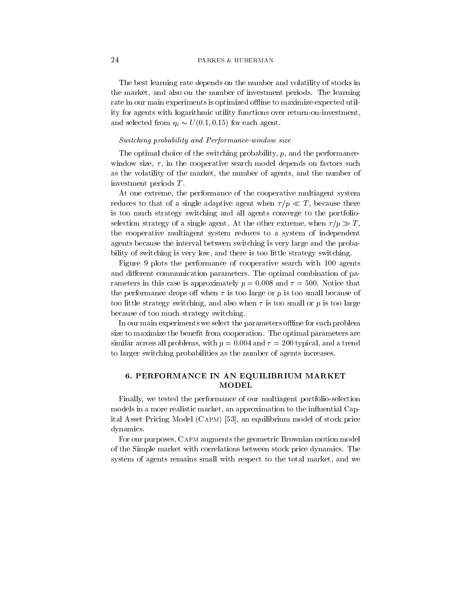The best learning rate depends on the number and volatility of stocks in the market, and also on the number of investment periods. The learning rate in our main experiments is optimized offline to maximize expected utility for agents with logarithmic utility functions over return-on-investment, and selected from  $\eta_i \sim U(0.1, 0.15)$  for each agent.

# Switching probability and Performance-window size

The optimal choice of the switching probability,  $p$ , and the performancewindow size,  $\tau$ , in the cooperative search model depends on factors such as the volatility of the market, the number of agents, and the number of investment periods <sup>T</sup>

At one extreme, the performance of the cooperative multiagent system reduces to that of a single adaptive agent when  $\tau/p \ll T$ , because there is too much strategy switching and all agents converge to the portfolio selection strategy of a single agent. At the other extreme, when  $\tau/p \gg T$ , the cooperative multiagent system reduces to a system of independent agents because the interval between switching is very large and the proba bility of switching is very low, and there is too little strategy switching.

Figure plots the performance of cooperative search with agents and di-erent communication parameters The optimal combination of pa rameters in this case is approximately p - violet when I - velocities in the second the performance drops on determine of the complete  $\rho$  or produced of the contract of too little strategy switching, and also when  $\tau$  is too small or p is too large because of too much strategy switching

In our main experiments we select the parameters of thine for each problem size to maximize the benefit from cooperation. The optimal parameters are similar and one problems with p and a trend and a problems with p and a trend and a trend to larger switching probabilities as the number of agents increases

# - PERFORMANCE IN AN EQUILIBRIUM MARKET MODEL

Finally, we tested the performance of our multiagent portfolio-selection models in a more realistic market, an approximation to the influential Capital Asset Pricing Model (CAPM) [53], an equilibrium model of stock price dynamics

For our purposes, CAPM augments the geometric Brownian motion model of the Simple market with correlations between stock price dynamics The system of agents remains small with respect to the total market, and we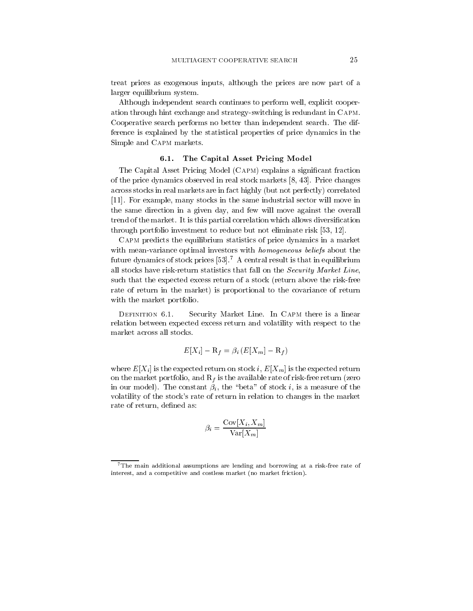treat prices as exogenous inputs, although the prices are now part of a larger equilibrium system

Although independent search continues to perform well, explicit cooperation through hint exchange and strategy-switching is redundant in CAPM. Cooperative search performs no better than independent search The dif ference is explained by the statistical properties of price dynamics in the Simple and Capm markets

### -- The Capital Asset Pricing Model

The Capital Asset Pricing Model (CAPM) explains a significant fraction of the price dynamics observed in real stock markets  $[8, 43]$ . Price changes across stocks in real markets are in fact highly (but not perfectly) correlated For example many stocks in the same industrial sector will move in the same direction in a given day, and few will move against the overall trend of the market. It is this partial correlation which allows diversification through portfolio investment to reduce but not eliminate risk 

Capm predicts the equilibrium statistics of price dynamics in a market with mean-variance optimal investors with *homogeneous beliefs* about the future dynamics of stock prices  $[53]$ .<sup>7</sup> A central result is that in equilibrium all stocks have risk-return statistics that fall on the Security Market Line, such that the expected excess return of a stock (return above the risk-free rate of return in the market) is proportional to the covariance of return with the market portfolio.

Security Market Line. In CAPM there is a linear relation between expected excess return and volatility with respect to the

$$
E[X_i] - \mathcal{R}_f = \beta_i \left( E[X_m] - \mathcal{R}_f \right)
$$

where  $E[X_i]$  is the expected return on stock i,  $E[X_m]$  is the expected return on the market portfolio, and  $R_f$  is the available rate of risk-free return (zero in our model The constant in the part of the constant  $\alpha$  is a measure of the constant of the constant of the volatility of the stock's rate of return in relation to changes in the market rate of return, defined as:

$$
\beta_i = \frac{\text{Cov}[X_i, X_m]}{\text{Var}[X_m]}
$$

The main additional assumptions are lending and borrowing at a risk-free rate of interest, and a competitive and costless market (no market friction).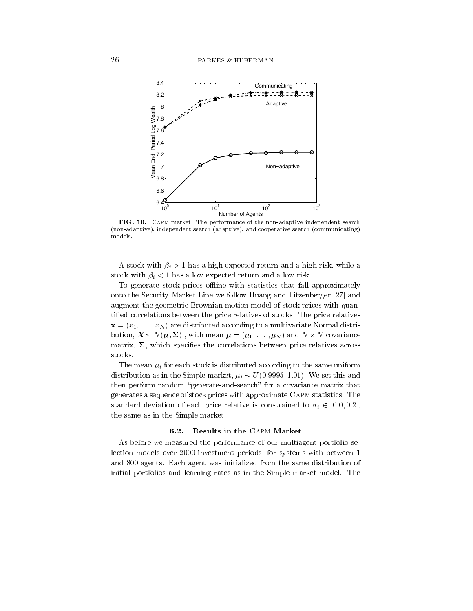

FIG - Capm market The performance of the non-adaptive independent search non-adaptive independent search adaptive and cooperative search communicating models

is a high expected return and a set  $\alpha$  in the set  $\alpha$  high expected return and  $\alpha$  high risk while and  $\alpha$ stock with a low the low risk with a low risk with a low risk with a low risk with  $\mu$ 

To generate stock prices offline with statistics that fall approximately onto the Security Market Line we follow Huang and Litzenberger  $[27]$  and augment the geometric Brownian motion model of stock prices with quan tified correlations between the price relatives of stocks. The price relatives  $\mathbf{x} = \{x_1, \ldots, x_N\}$  are distributed according to a multivariate residue  $\mathbf{x}$ bution,  $\mathbf{X} \sim N(\boldsymbol{\mu}, \boldsymbol{\Sigma})$ , with mean  $\boldsymbol{\mu} = (\mu_1, \dots, \mu_N)$  and  $N \times N$  covariance matrix and special specialistic terms between prices across across across across across across across across a stocks

The mean  $\mu_i$  for each stock is distributed according to the same uniform distribution as in the Simple market,  $\mu_i \sim U(0.9995, 1.01)$ . We set this and then perform random "generate-and-search" for a covariance matrix that generates a sequence of stock prices with approximate Capm statistics The standard deviation of each price relative is constrained to  $\sigma_i \in [0.0, 0.2]$ , the same as in the Simple market

As before we measured the performance of our multiagent portfolio se lection models over 2000 investment periods, for systems with between 1 and 800 agents. Each agent was initialized from the same distribution of initial portfolios and learning rates as in the Simple market model. The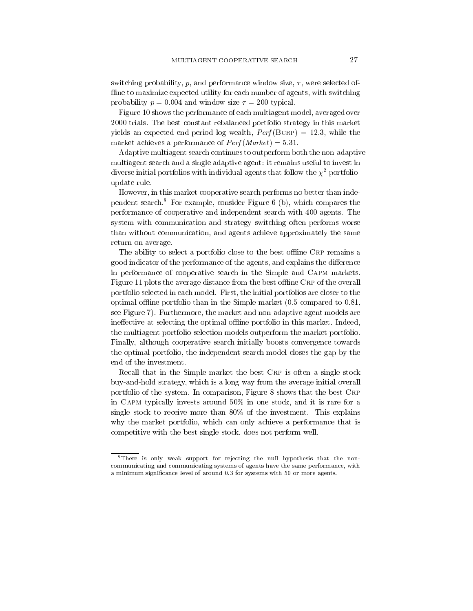switching probability, p, and performance window size,  $\tau$ , were selected offline to maximize expected utility for each number of agents, with switching probability probability probability probability probability probability probability probability probability pro

Figure shows the performance of each multiagent model averaged over 2000 trials. The best constant rebalanced portfolio strategy in this market  $\alpha$  and the expected endperiod log wealth  $\alpha$  and  $\alpha$  and  $\beta$  and  $\beta$  and  $\beta$ market achieves a performance of Perf Market Market Street (Market Market Market Market Market Market Market M

Adaptive multiagent search continues to outperform both the non-adaptive multiagent search and a single adaptive agent: it remains useful to invest in diverse initial portfolios with individual agents that follow the  $\chi^2$  portfolioupdate rule

However, in this market cooperative search performs no better than independent search For example consider Figure b which compares the performance of cooperative and independent search with 400 agents. The system with communication and strategy switching often performs worse than without communication, and agents achieve approximately the same return on average

The ability to select a portfolio close to the best offline CRP remains a good indicator of the performance of the agents and explains the distribution of the distribution of the distribution of the distribution of the distribution of the distribution of the distribution of the distribution of t in performance of cooperative search in the Simple and Capm markets Figure plots the average distance from the best oine Crp of the overall portfolio selected in each model. First, the initial portfolios are closer to the optimal offline portfolio than in the Simple market  $(0.5$  compared to  $0.81$ , the contract of the contract of the contract of the contract of the contract of see Figure 7). Furthermore, the market and non-adaptive agent models are ine-ective at selecting the optimal oine portfolio in this market Indeed the multiagent portfolioselection models outperform the market portfolio Finally although cooperative search initially boosts convergence towards the optimal portfolio, the independent search model closes the gap by the end of the investment

Recall that in the Simple market the best CRP is often a single stock buy-and-hold strategy, which is a long way from the average initial overall portfolio of the system. In comparison, Figure 8 shows that the best CRP in CAPM typically invests around  $50\%$  in one stock, and it is rare for a single stock to receive more than  $80\%$  of the investment. This explains why the market portfolio, which can only achieve a performance that is competitive with the best single stock, does not perform well.

<sup>&</sup>lt;sup>8</sup>There is only weak support for rejecting the null hypothesis that the noncommunicating and communicating systems of agents have the same performance, with a minimum significance level of around  $0.3$  for systems with  $50$  or more agents.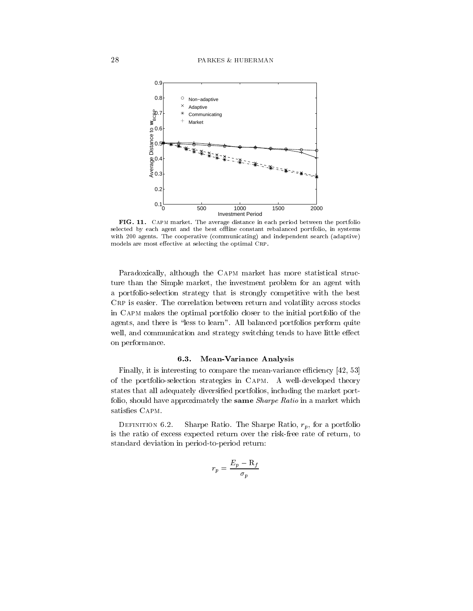

FIG -- Capm market The average distance in each period between the portfolio selected by each agent and the best offline constant rebalanced portfolio, in systems with 200 agents. The cooperative (communicating) and independent search (adaptive) models are most effective at selecting the optimal CRP.

Paradoxically, although the CAPM market has more statistical structure than the Simple market, the investment problem for an agent with a portfolioselection strategy that is strongly competitive with the best CRP is easier. The correlation between return and volatility across stocks in Capm makes the optimal portfolio closer to the initial portfolio of the agents, and there is "less to learn". All balanced portfolios perform quite well and communication and strategy switching tends to have little e-mail tends to have little e-mail tends to on performance

### -- MeanVariance Analysis

Finally, it is interesting to compare the mean-variance efficiency  $[42, 53]$ of the portfolio-selection strategies in CAPM. A well-developed theory states that all adequately diversified portfolios, including the market portfolio, should have approximately the same *Sharpe Ratio* in a market which satisfies CAPM.

Sharpe Ratio. The Sharpe Ratio,  $r_p$ , for a portfolio is the ratio of excess expected return over the risk-free rate of return, to standard deviation in period-to-period return:

$$
r_p = \frac{E_p - \mathrm{R}_f}{\sigma_p}
$$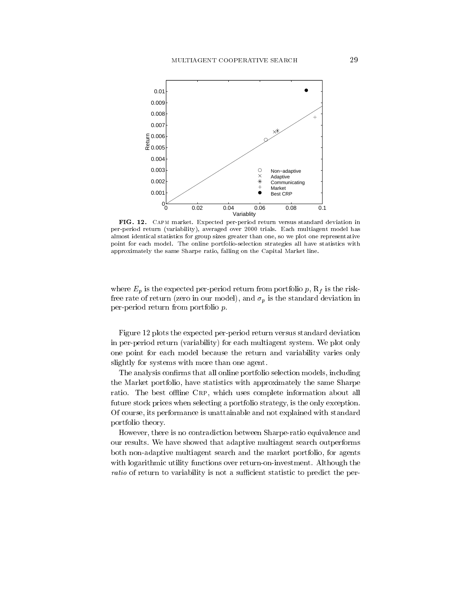

FIG - Capm market Expected per-period return versus standard deviation in per-period return variability averaged over trials Each multiagent model has almost identical statistics for group sizes greater than one so we plot one representative point for each model The online portfolio-selection strategies all have statistics with approximately the same Sharpe ratio, falling on the Capital Market line.

where  $E_p$  is the expected per-period return from portfolio p,  $R_f$  is the riskfree rate of return (zero in our model), and  $\sigma_p$  is the standard deviation in per-period return from portfolio  $p$ .

Figure plots the expected perperiod return versus standard deviation in per-period return (variability) for each multiagent system. We plot only one point for each model because the return and variability varies only slightly for systems with more than one agent

The analysis confirms that all online portfolio selection models, including the Market portfolio, have statistics with approximately the same Sharpe ratio. The best offline CRP, which uses complete information about all future stock prices when selecting a portfolio strategy, is the only exception. Of course its performance is unattainable and not explained with standard portfolio theory

However, there is no contradiction between Sharpe-ratio equivalence and our results. We have showed that adaptive multiagent search outperforms both non-adaptive multiagent search and the market portfolio, for agents with logarithmic utility functions over return-on-investment. Although the ratio of return to variability is not a sucient statistic to predict the per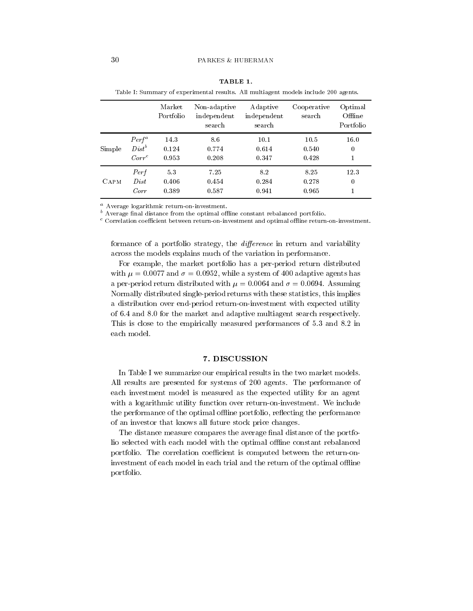|        |          | Market<br>Portfolio | Non-adaptive<br>independent<br>search | Adaptive<br>independent<br>search | Cooperative<br>search | Optimal<br>Offline<br>Portfolio |
|--------|----------|---------------------|---------------------------------------|-----------------------------------|-----------------------|---------------------------------|
|        | $Perf^a$ | 14.3                | 8.6                                   | 10.1                              | 10.5                  | 16.0                            |
| Simple | $Dist^b$ | 0.124               | 0.774                                 | 0.614                             | 0.540                 | 0                               |
|        | $Corr^c$ | 0.953               | 0.208                                 | 0.347                             | 0.428                 | 1                               |
| CAPM   | Perf     | 5.3                 | 7.25                                  | 8.2                               | 8.25                  | 12.3                            |
|        | Dist     | 0.406               | 0.454                                 | 0.284                             | 0.278                 | 0                               |
|        | Corr     | 0.389               | 0.587                                 | 0.941                             | 0.965                 | 1                               |

|  | ◟▴ |  |  |
|--|----|--|--|
|--|----|--|--|

Table I: Summary of experimental results. All multiagent models include 200 agents.

- Average logarithmic return-on-investment.

- Average imal distance from the optimal online constant rebalanced portfolio.

- Correlation coemcient between return-on-mvestment and optimal omme return-on-mvestment.

formance of a portfolio strategy, the  $difference$  in return and variability across the models explains much of the variation in performance

For example, the market portfolio has a per-period return distributed with - and - while a system of adaptive agents has a perperiod return distributed with - and - Assuming Normally distributed single-period returns with these statistics, this implies a distribution over end-period return-on-investment with expected utility of  $6.4$  and  $8.0$  for the market and adaptive multiagent search respectively. This is close to the empirically measured performances of 5.3 and 8.2 in each model

# 7. DISCUSSION

In Table I we summarize our empirical results in the two market models All results are presented for systems of 200 agents. The performance of each investment model is measured as the expected utility for an agent with a logarithmic utility function over return-on-investment. We include the performance of the optimal offline portfolio, reflecting the performance of an investor that knows all future stock price changes

The distance measure compares the average final distance of the portfolio selected with each model with the optimal offline constant rebalanced portfolio. The correlation coefficient is computed between the return-oninvestment of each model in each trial and the return of the optimal offline portfolio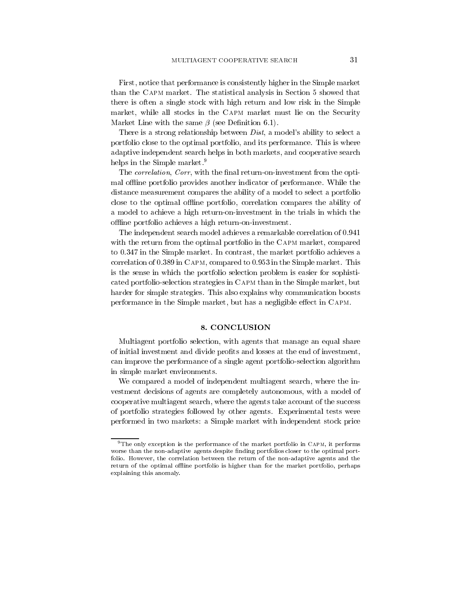First, notice that performance is consistently higher in the Simple market than the CAPM market. The statistical analysis in Section 5 showed that there is often a single stock with high return and low risk in the Simple market while all stocks in the Capm market must lie on the Security  $\mathbb{R}^n$  . The same definition of the same definition of the same definition of the same definition of the same definition of the same definition of the same definition of the same definition of the same definition of t

There is a strong relationship between  $Dist$ , a model's ability to select a portfolio close to the optimal portfolio and its performance This is where adaptive independent search helps in both markets and cooperative search helps in the Simple market.<sup>9</sup>

The *correlation*, *Corr*, with the final return-on-investment from the optimal offline portfolio provides another indicator of performance. While the distance measurement compares the ability of a model to select a portfolio close to the optimal offline portfolio, correlation compares the ability of a model to achieve a high return-on-investment in the trials in which the offline portfolio achieves a high return-on-investment.

The independent search model achieves a remarkable correlation of 0.941 with the return from the optimal portfolio in the CAPM market, compared to 0.347 in the Simple market. In contrast, the market portfolio achieves a correlation of  $0.389$  in CAPM, compared to  $0.953$  in the Simple market. This is the sense in which the portfolio selection problem is easier for sophisti cated portfolio-selection strategies in CAPM than in the Simple market, but harder for simple strategies. This also explains why communication boosts performance in the Simple market but has a negligible e-ect in Capm

Multiagent portfolio selection, with agents that manage an equal share of initial investment and divide profits and losses at the end of investment, can improve the performance of a single agent portfolioselection algorithm in simple market environments

We compared a model of independent multiagent search, where the investment decisions of agents are completely autonomous with a model of cooperative multiagent search where the agents take account of the success of portfolio strategies followed by other agents Experimental tests were performed in two markets a Simple market with independent stock price

<sup>&</sup>lt;sup>9</sup>The only exception is the performance of the market portfolio in CAPM, it performs worse than the non-complete agents despite non-complete the state of the optimal portfolio However the correlation between the return of the non-adaptive agents and the return of the optimal offline portfolio is higher than for the market portfolio, perhaps explaining this anomaly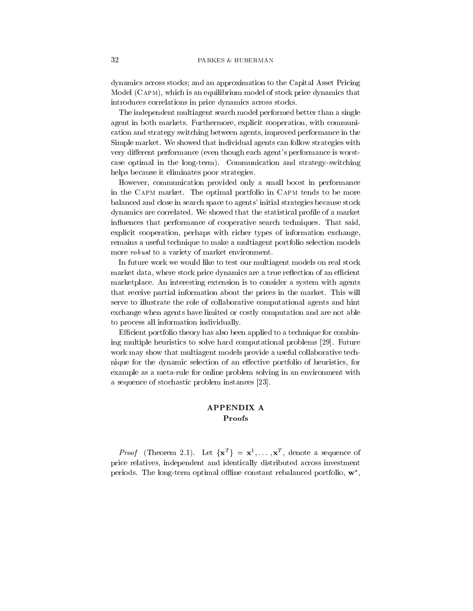dynamics across stocks; and an approximation to the Capital Asset Pricing Model (CAPM), which is an equilibrium model of stock price dynamics that introduces correlations in price dynamics across stocks

The independent multiagent search model performed better than a single agent in both markets. Furthermore, explicit cooperation, with communication and strategy switching between agents improved performance in the Simple market. We showed that individual agents can follow strategies with very di-erent performance even though each agents performance is worst case optimal in the long-term). Communication and strategy-switching helps because it eliminates poor strategies

However, communication provided only a small boost in performance in the CAPM market. The optimal portfolio in CAPM tends to be more balanced and close in search space to agents' initial strategies because stock dynamics are correlated. We showed that the statistical profile of a market influences that performance of cooperative search techniques. That said, explicit cooperation, perhaps with richer types of information exchange, remains a useful technique to make a multiagent portfolio selection models more *robust* to a variety of market environment.

In future work we would like to test our multiagent models on real stock market data, where stock price dynamics are a true reflection of an efficient marketplace An interesting extension is to consider a system with agents that receive partial information about the prices in the market. This will serve to illustrate the role of collaborative computational agents and hint exchange when agents have limited or costly computation and are not able to process all information individually

Efficient portfolio theory has also been applied to a technique for combining multiple heuristics to solve hard computational problems [29]. Future work may show that multiagent models provide a useful collaborative tech nique for the dynamic selection of an e-ective portfolio of heuristics for example as a meta-rule for online problem solving in an environment with a sequence of stochastic problem instances [23].

# Proofs

*Proof* (Theorem 2.1). Let  $\{x^T\} = x^1, \ldots, x^T$ , denote a sequence of price relatives, independent and identically distributed across investment periods. The long-term optimal offline constant rebalanced portfolio,  $\mathbf{w}^*$ ,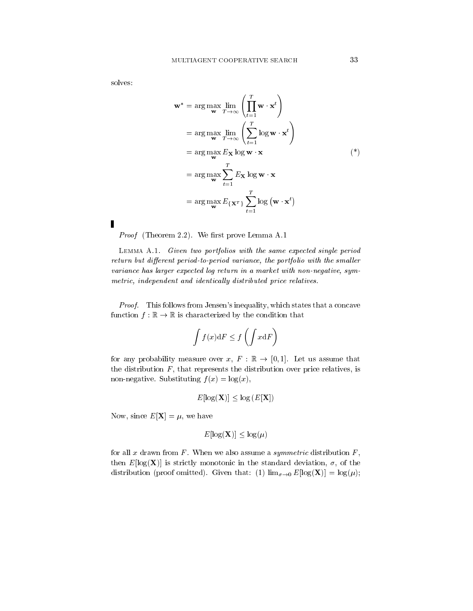solves

Γ

$$
\mathbf{w}^* = \arg \max_{\mathbf{w}} \lim_{T \to \infty} \left( \prod_{t=1}^T \mathbf{w} \cdot \mathbf{x}^t \right)
$$
  
=  $\arg \max_{\mathbf{w}} \lim_{T \to \infty} \left( \sum_{t=1}^T \log \mathbf{w} \cdot \mathbf{x}^t \right)$   
=  $\arg \max_{\mathbf{w}} E_{\mathbf{X}} \log \mathbf{w} \cdot \mathbf{x}$  (\*)  
=  $\arg \max_{\mathbf{w}} \sum_{t=1}^T E_{\mathbf{X}} \log \mathbf{w} \cdot \mathbf{x}$   
=  $\arg \max_{\mathbf{w}} E_{\{\mathbf{X}^T\}} \sum_{t=1}^T \log (\mathbf{w} \cdot \mathbf{x}^t)$ 

Proof Theorem 2021 Theorem Prove Members 2022

 $L$ емм $A$   $A$ ,  $I$ ,  $I$  (then two portfolios with the same expected single period return but different period to period variance, the portfolio with the smaller variance has larger expected log return in a market with non-negative, symmetric, independent and identically distributed price relatives.

Proof- This follows from Jensens inequality which states that a concave function  $f : \mathbb{R} \to \mathbb{R}$  is characterized by the condition that

$$
\int f(x) \mathrm{d} F \le f\left(\int x \mathrm{d} F\right)
$$

for any probability measure over  $x, F : \mathbb{R} \to [0,1]$ . Let us assume that the distribution  $F$ , that represents the distribution over price relatives, is non-negative. Substituting  $f(x) = \log(x)$ ,

$$
E[\log(\mathbf{X})] \le \log(E[\mathbf{X}])
$$

Now, since  $E[\mathbf{X}] = \mu$ , we have

$$
E[\log(\mathbf{X})] \le \log(\mu)
$$

for all x drawn from  $F$ . When we also assume a *symmetric* distribution  $F$ , then  $E[\log(\mathbf{X})]$  is strictly monotonic in the standard deviation,  $\sigma$ , of the  $\lim_{\sigma \to 0} E[\log(\mathbf{A})] = \log(\mu),$  and  $\lim_{\sigma \to 0} E[\log(\mathbf{A})] = \log(\mu),$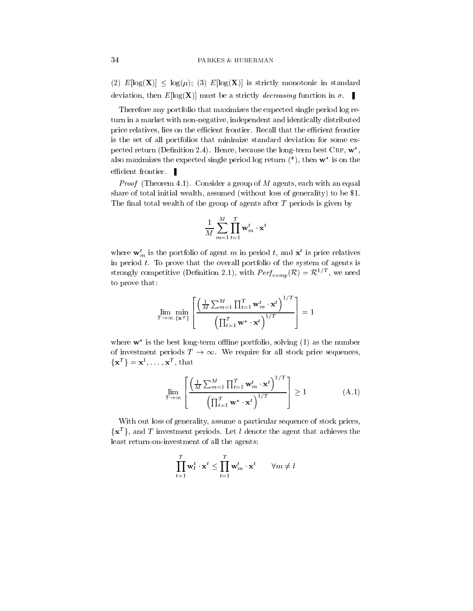(2)  $E[\log(X)] \leq \log(\mu)$ ; (3)  $E[\log(X)]$  is strictly monotonic in standard deviation, then  $E[\log(\mathbf{X})]$  must be a strictly *decreasing* function in  $\sigma$ .

Therefore any portfolio that maximizes the expected single period log re turn in a market with non-negative, independent and identically distributed price relatives, lies on the efficient frontier. Recall that the efficient frontier is the set of all portfolios that minimize standard deviation for some ex pected return (Definition 2.4). Hence, because the long-term best  $\text{CRP}, \mathbf{w}^*$ , also maximizes the expected single period log return  $(*)$ , then  $w^*$  is on the efficient frontier.  $\blacksquare$ 

Proof Theorem HPT COMBRACT a group of M agents called military against share of total initial wealth assumed with assumed with assumed with a set generality to be generality to be generality to be generality to be generality to be generality to be generality to be generality to be generality The final total wealth of the group of agents after  $T$  periods is given by

$$
\frac{1}{M}\sum_{m=1}^M\prod_{t=1}^T\mathbf{w}_m^t\cdot\mathbf{x}^t
$$

where  $w_m$  is the portfolio of agent m in period t, and  $x^2$  is price relatives in period  $t$ . To prove that the overall portfolio of the system of agents is strongly competitive (Definition 2.1), with  $Perf_{comn}(\mathcal{R}) = \mathcal{R}^{1/I}$ , we need to prove that

$$
\lim_{T \to \infty} \min_{\{\mathbf{x}^T\}} \left[ \frac{\left(\frac{1}{M} \sum_{m=1}^M \prod_{t=1}^T \mathbf{w}_m^t \cdot \mathbf{x}^t\right)^{1/T}}{\left(\prod_{t=1}^T \mathbf{w}^* \cdot \mathbf{x}^t\right)^{1/T}} \right] = 1
$$

where  $w^*$  is the best long-term offline portfolio, solving (1) as the number of investment periods  $T \to \infty$ . We require for all stock price sequences,  $\left\{\mathbf{x}^T\right\} = \mathbf{x}^1, \ldots, \mathbf{x}^T, \text{ that }$ 

$$
\lim_{T \to \infty} \left[ \frac{\left(\frac{1}{M} \sum_{m=1}^{M} \prod_{t=1}^{T} \mathbf{w}_m^t \cdot \mathbf{x}^t\right)^{1/T}}{\left(\prod_{t=1}^{T} \mathbf{w}^* \cdot \mathbf{x}^t\right)^{1/T}} \right] \ge 1
$$
\n(A.1)

With out loss of generality, assume a particular sequence of stock prices,  $\{x^T\}$ , and T investment periods. Let l denote the agent that achieves the least return-on-investment of all the agents:

$$
\prod_{t=1}^T \mathbf{w}_l^t \cdot \mathbf{x}^t \le \prod_{t=1}^T \mathbf{w}_m^t \cdot \mathbf{x}^t \qquad \forall m \ne l
$$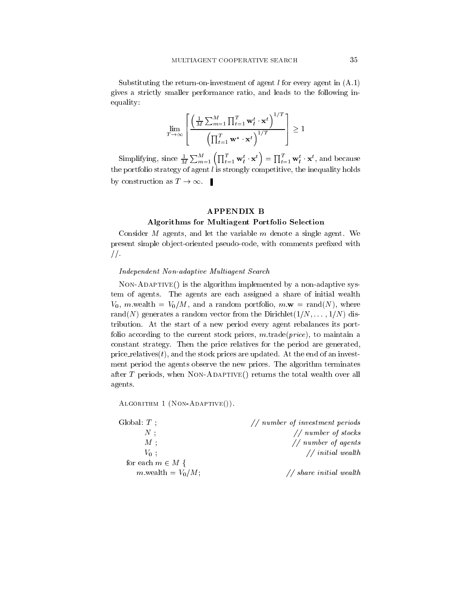Substituting the return-on-investment of agent l for every agent in  $(A.1)$  $\mathbf{r}$  and  $\mathbf{r}$ gives a strictly smaller performance ratio, and leads to the following inequality

$$
\lim_{T \to \infty} \left[ \frac{\left(\frac{1}{M} \sum_{m=1}^{M} \prod_{t=1}^{T} \mathbf{w}_t^t \cdot \mathbf{x}^t\right)^{1/T}}{\left(\prod_{t=1}^{T} \mathbf{w}^* \cdot \mathbf{x}^t\right)^{1/T}} \right] \ge 1
$$

Simplifying, since  $\frac{1}{M}\sum_{m=1}^M\left(\prod_{t=1}^T \mathbf{w}_l^t \cdot \mathbf{x}^t\right) = \prod_{t=1}^T \mathbf{w}_l^t \cdot \mathbf{x}^t$ , and because the portfolio strategy of agent  $l$  is strongly competitive, the inequality holds by construction as  $T \to \infty$ .

# APPENDIX B

# Algorithms for Multiagent Portfolio Selection

Consider  $M$  agents, and let the variable  $m$  denote a single agent. We present simple object-oriented pseudo-code, with comments prefixed with  $\sqrt{ }$ 

# Independent Non-adaptive Multiagent Search

NonAdaptive- is the algorithm implemented by a nonadaptive sys tem of agents The agents are each assigned a share of initial wealth V mwealth VM and a random portfolio m-w randN where randN generates a random vector from the Dirichlet N - - - N dis tribution At the start of a new period every agent rebalances its port folio according to the current stock prices,  $m.\text{trade}(price)$ , to maintain a constant strategy. Then the price relatives for the period are generated, price relatives  $(t)$ , and the stock prices are updated. At the end of an investment period the agents observe the new prices. The algorithm terminates after T periods when  $\mathcal{M}$ agents

Algorithm Non Adaptive -

| Global $T$ ;         | $//$ number of investment periods |
|----------------------|-----------------------------------|
| $N$ :                | $//$ number of stocks             |
| $M$ :                | $//$ number of agents             |
| $V_0$ :              | $//$ initial wealth               |
| for each $m \in M$ { |                                   |
| m wealth = $V_0/M$ ; | // share initial wealth           |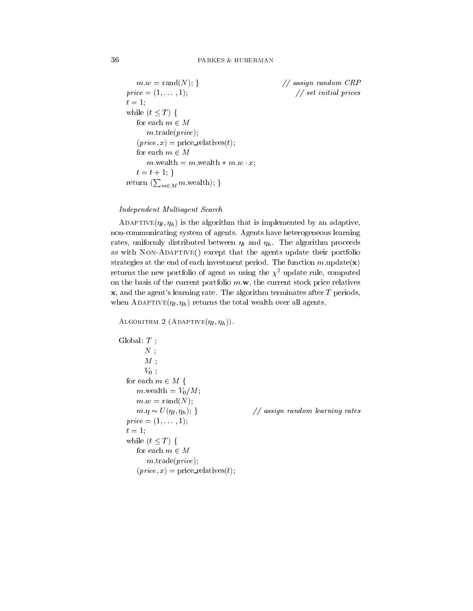```
m.w = \text{rand}(N);\frac{1}{2} assign random CRP
p \cdot \cdot \cdot = 0  set initial prices
the contract of the contract of the contract of the contract of the contract of the contract of the contract o
while (t \leq T) {
    for each m\in Mm.\text{trade}(price);
    (price, x) = price relatives(t);
    for each m \in Mm wealth m = m wealth * m w \cdot x;
    t = t + 1;}
return (\sum_{m \in M} m wealth); }
```
### Independent Multiagent Search

ADAPTIVE $(\eta_l, \eta_h)$  is the algorithm that is implemented by an adaptive, non-communicating system of agents. Agents have heterogeneous learning rates, uniformly distributed between  $\eta_l$  and  $\eta_h$ . The algorithm proceeds as with Non-Adaptive-Matrix update that the agents update the agents update the agents update the agents update the agents update the agents update the agents update the agents update the agents update the agents update th strategies at the end of each investment period. The function  $m$  update(x) returns the new portfolio of agent m using the  $\chi^2$  update rule, computed on the basis of the current portfolio m-the current stock price portfolio m $x$ , and the agent's learning rate. The algorithm terminates after  $T$  periods, when ADAPTIVE $(\eta_l, \eta_h)$  returns the total wealth over all agents.

```
\sum_{i=1}^{n}
```

```
Global T:
                    N;
                    M;
                    V_0:
      for each m \in M {
              m wealth = V_0/M;
               w random was a random water that the contract of the contract of the contract of the contract of the contract of the contract of the contract of the contract of the contract of the contract of the contract of the contract 
              m.\eta \sim U(\eta_l, \eta_h);1/ assign random learning rates
       p \cdot \cdot \cdot = 0t the second contract of the second contract of the second contract of the second contract of the second contract of the second contract of the second contract of the second contract of the second contract of the second co
      while (t \leq T) {
              for each m \in Mm.\text{trade}(price);
              (price, x) = price\_relatives(t);
```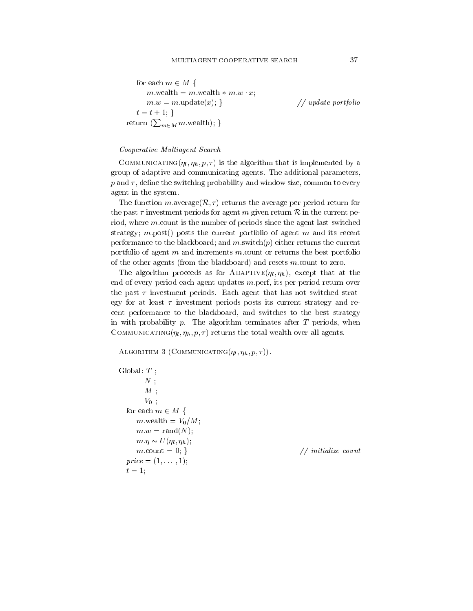for each 
$$
m \in M
$$
 {\n m. wealth = m. wealth \* m.w · x;\n m.w = m.update(x); }\n t = t + 1; }\nreturn (\sum\_{m \in M} m. wealth); } // update portfolio\n

#### Cooperative Multiagent Search

COMMUNICATING $(\eta_l, \eta_h, p, \tau)$  is the algorithm that is implemented by a group of adaptive and communicating agents. The additional parameters,  $p$  and  $\tau$ , define the switching probability and window size, common to every agent in the system

The function maverage( $\mathcal{R}, \tau$ ) returns the average per-period return for the past  $\tau$  investment periods for agent m given return  $\mathcal R$  in the current period, where  $m$  count is the number of periods since the agent last switched strategy; m.post() posts the current portfolio of agent m and its recent performance to the blackboard; and  $m$  switch $(p)$  either returns the current portfolio of agent  $m$  and increments  $m$  count or returns the best portfolio of the other agents (from the blackboard) and resets  $m$  count to zero.

The algorithm proceeds as for ADAPTIVE $(\eta_l, \eta_h)$ , except that at the end of every period each agent updates  $m$  perf, its per-period return over the past  $\tau$  investment periods. Each agent that has not switched strategy for at least  $\tau$  investment periods posts its current strategy and recent performance to the blackboard, and switches to the best strategy in with probability  $p$ . The algorithm terminates after  $T$  periods, when COMMUNICATING $(\eta_l, \eta_h, p, \tau)$  returns the total wealth over all agents.

 $\mathbf{A}$ 

```
Global T:
                N.
                 M;
                 V_0;
    for each m \in M {
           m wealth = V_0/M;
            w r random random \sim random \sim r \sim r \sim r \sim r \sim r \sim r \sim r \sim r \sim r \sim r \sim r \sim r \sim r \sim r \sim r \sim r \sim r \sim r \sim r \sim r \sim 
            m \eta \sim U(\eta_l, \eta_h);
           m \text{.count} = 0; \} // initialize count
     p \cdot \cdot \cdot = pto the second contract of the second second terms of the second second terms of the second second second terms.
```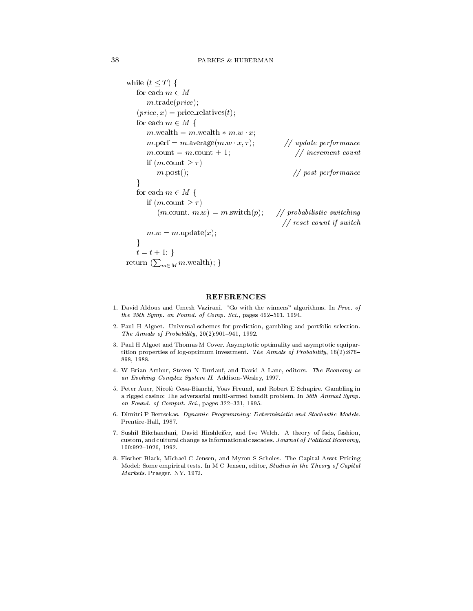```
while (t \leq T) {
   for each m \in Mm.\text{trade}(price);
   (price, x) = price relatives(t);
   for each m \in M {
       m wealth m = m wealth * m w \cdot x;
       m performance age m w x, y,
                                                        \frac{1}{2} update performance
       m.count = m.count + 1;
                                                            \frac{1}{i} increment count
       if (m \text{ count } > \tau)m.post(); // post\ performance\}for each m \in M {
       if (m \text{.count} > \tau)(m.\text{count}, m.w) = m.\text{switch}(p);\frac{1}{2} probabilistic switching
                                                       \frac{1}{\sqrt{r}} reset count if switch
       where we will be a more with the set of the set of the set of the set of the set of the set of the set of the s
    \}t = t + 1; }
return (\sum_{m \in M} m wealth); }
```
### REFERENCES

- David Aldous and Umesh Vazirani Go with the winners algorithms In Proc- of the them a given the standard space of complete state of Company and Seconds and Seconds and Seconds and Seconds
- 2. Paul H Algoet. Universal schemes for prediction, gambling and portfolio selection. The Annals of Probability,  $20(2):901-941$ , 1992.
- 3. Paul H Algoet and Thomas M Cover. Asymptotic optimality and asymptotic equipartition properties of log-species consecutives which the Annals of Probability Property (Probability Probabilit 898, 1988.
- 4. W Brian Arthur, Steven N Durlauf, and David A Lane, editors. The Economy as and Evolving Complex System II and III Additional Complex Systems in
- Peter Auer Nicolo Cesa-Bianchi Yoav Freund and Robert E Schapire Gambling in a rigged casino The adversarial multi-armed bandit problem In th Annual Sympon Found- of Comput- Sci- pages
- Dimitri P Bertsekas Dynamic Programming Deterministic and Stochastic Models President and the control of the control of the control of the control of the control of the control of the control of the control of the control of the control of the control of the control of the control of the control o
- 7. Sushil Bikchandani, David Hirshleifer, and Ivo Welch. A theory of fads, fashion, custom, and cultural change as informational cascades. Journal of Political Economy,
- 8. Fischer Black, Michael C Jensen, and Myron S Scholes. The Capital Asset Pricing Model: Some empirical tests. In M C Jensen, editor, Studies in the Theory of Capital Markets. Praeger, NY, 1972.

38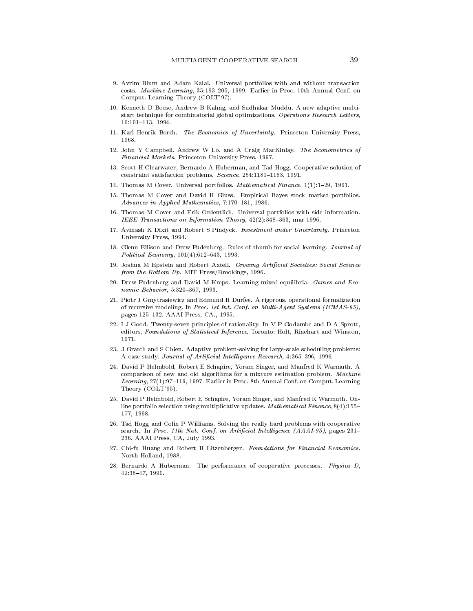- 9. Avrim Blum and Adam Kalai. Universal portfolios with and without transaction costs. Machine Learning, 35:193-205, 1999. Earlier in Proc. 10th Annual Conf. on Comput. Learning Theory (COLT'97).
- 10. Kenneth D Boese, Andrew B Kahng, and Sudhakar Muddu. A new adaptive multistart technique for combinatorial global optimizations. Operations Research Letters, the contract of the contract of the contract of the contract of the contract of the contract of the contract of
- 11. Karl Henrik Borch. The Economics of Uncertainty. Princeton University Press, 1968.
- 12. John Y Campbell, Andrew W Lo, and A Craig MacKinlay. The Econometrics of Financial Markets. Princeton University Press, 1997.
- 13. Scott H Clearwater, Bernardo A Huberman, and Tad Hogg. Cooperative solution of constraint satisfaction problems. Science, 254:1181-1183, 1991.
- 14. Thomas M Cover. Universal portfolios. *Mathematical Finance*,  $1(1):1-29$ , 1991.
- 15. Thomas M Cover and David H Gluss. Empirical Bayes stock market portfolios. advances in Application Mathematics in Alternative Mathematics
- Thomas M Cover and Erik Ordentlich Universal portfolios with side information IEEE Transactions on Informations on Informations on Information Theory IEEE Transactions on Information Theory IEEE
- 17. Avinash K Dixit and Robert S Pindyck. Investment under Uncertainty. Princeton University Press
- 18. Glenn Ellison and Drew Fudenberg. Rules of thumb for social learning. Journal of Political Economy
- 19. Joshua M Epstein and Robert Axtell. Growing Artificial Societies: Social Science from the Bottom Up MIT PressBrookings Brookings and  $\mathcal{W}$
- 20. Drew Fudenberg and David M Kreps. Learning mixed equilibria. Games and Economic Behavior Behavior Behavior Behavior Behavior Behavior Behavior Behavior Behavior Behavior Behavior Behav
- Piotr J Gmytrasiewicz and Edmund H Durfee A rigorous operational formalization of formers in processing In Processing In Processing In Processing International International International I pages 125-132. AAAI Press, CA., 1995.
- seven principles of rational principles of rationality in V P Godward and D A Sprott, In V P A Sprott, In Indiana editors, Foundations of Statistical Inference. Toronto: Holt, Rinehart and Winston,
- solving for the S Chien Adaptive problem-solving for large-scheduling problems. A case study Journal of Articial Intel ligence Research
- 24. David P Helmbold, Robert E Schapire, Yoram Singer, and Manfred K Warmuth. A comparison of new and old algorithms for a mixture estimation problem. Machine Learning, 27(1):97-119, 1997. Earlier in Proc. 8th Annual Conf. on Comput. Learning Theory (COLT'95).
- 25. David P Helmbold, Robert E Schapire, Yoram Singer, and Manfred K Warmuth. Online portfolio selection using multiplicative updates. Mathematical Finance,  $8(4)$ :155-177, 1998.
- Tad Hogg and  $\mathcal{H}$  with  $\mathcal{H}$  with continuous with cooperative with cooperative with cooperative with cooperative with cooperative with cooperative with cooperative with cooperative with cooperative with cooperative search In Process Process Process in Process Processing Process Process Process Process Process Process Proces aaai sasaasa caan, caan, caan, caanaan
- Chi-fu Huang and Robert H Litzenberger Foundations for Financial Economics Northern Communication and the communication of the communication of the communication of the communication of
- 28. Bernardo A Huberman. The performance of cooperative processes. Physica  $D$ ,  $42:38-47.1990.$ ..... ... .....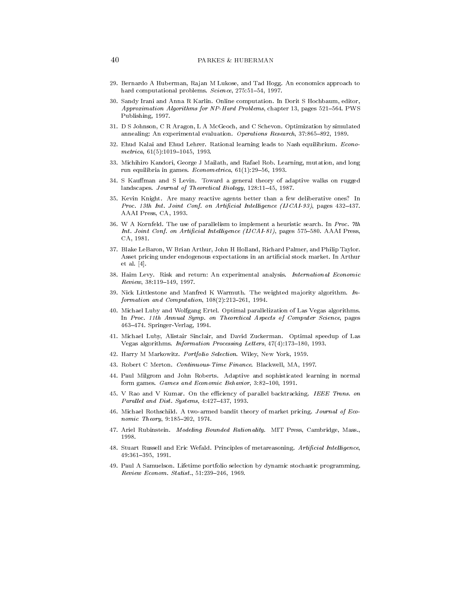- 29. Bernardo A Huberman, Rajan M Lukose, and Tad Hogg. An economics approach to hard computational problems. Science,  $275:51-54$ , 1997.
- 30. Sandy Irani and Anna R Karlin. Online computation. In Dorit S Hochbaum, editor, Approximation Algorithms for NPHard Problems chapter pages PWS Publishing, 1997.
- 31. D S Johnson, C R Aragon, L A McGeoch, and C Schevon. Optimization by simulated annealing An experimental evaluation Operations Research
- 32. Ehud Kalai and Ehud Lehrer. Rational learning leads to Nash equilibrium. Econometrical contractors are the contract to the contract of the contract of the contract of the contract of the c
- 33. Michihiro Kandori, George J Mailath, and Rafael Rob. Learning, mutation, and long run equilibria in games Econometrica
- 34. S Kauffman and S Levin. Toward a general theory of adaptive walks on rugged landscapes. Journal of Theoretical Biology, 128:11-45, 1987.
- 35. Kevin Knight. Are many reactive agents better than a few deliberative ones? In Proc- th Int- Joint Conf- on Articial Intel ligence IJCAI pages AAAI Press, CA, 1993.
- W A Kornfeld The use of parallelism to implement a heuristic search In Processes and the use of parallelism in Int- Joint Conf- on Articial Intel ligence IJCAI
 pages AAAI Press case, case case
- 37. Blake LeBaron, W Brian Arthur, John H Holland, Richard Palmer, and Philip Taylor. Asset pricing under endogenous expectations in an articial stock market In Arthur et al.  $[4]$ .
- 38. Haim Levy. Risk and return: An experimental analysis. International Economic  $Review, 38:119-149, 1997.$
- 39. Nick Littlestone and Manfred K Warmuth. The weighted majority algorithm.  $In$ formation and Computation
- 40. Michael Luby and Wolfgang Ertel. Optimal parallelization of Las Vegas algorithms. an a correspondent as a computer second symp-second pages of Computer Science pages of Computer Science pages se se se mens mens en sos segeres se se segere se segere se segere segere segere segere segere segere segere s
- 41. Michael Luby, Alistair Sinclair, and David Zuckerman. Optimal speedup of Las Vegas algorithms. Information Processing Letters, 47(4):173-180, 1993.
- 42. Harry M Markowitz. Portfolio Selection. Wiley, New York, 1959.
- 43. Robert C Merton. Continuous-Time Finance. Blackwell, MA, 1997.
- Paul Milgrom and John Roberts Adaptive and sophisticated learning in normal form games. Games and Economic Behavior, 3:82-100, 1991.
- V Rao and V Kumar On the eciency of parallel backtracking IEEE Trans- on Paral System Districts and District and District of the District of District and District of District of District
- Michael Rothschild A two-armed bandit theory of market pricing Journal of Eco nomic Theory, 9:185-202, 1974.
- 47. Ariel Rubinstein. Modeling Bounded Rationality. MIT Press, Cambridge, Mass.,
- 48. Stuart Russell and Eric Wefald. Principles of metareasoning. Artificial Intelligence, the contract of the contract of the contract of the contract of the contract of the contract of the contract of
- 49. Paul A Samuelson. Lifetime portfolio selection by dynamic stochastic programming. <u>review External statistic telesticity</u>